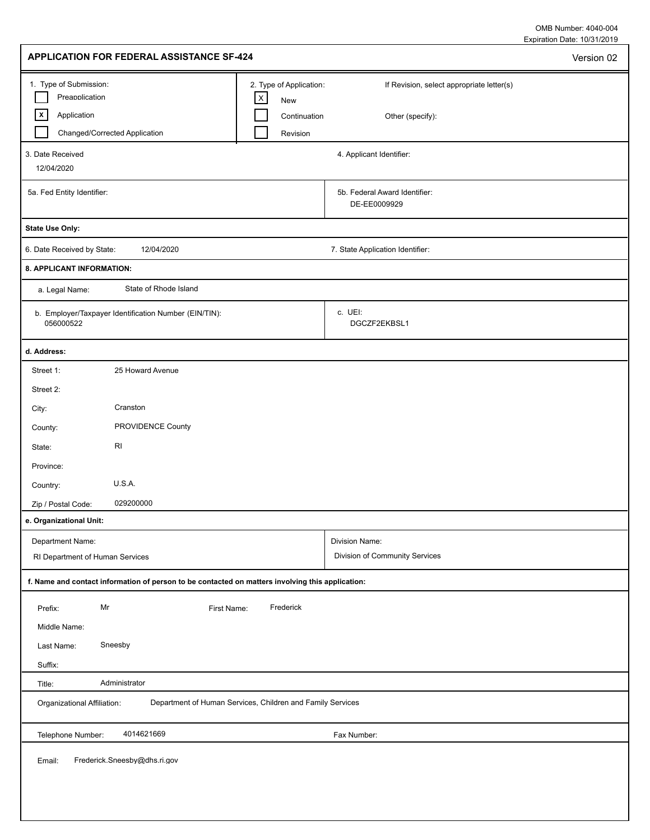Expiration Date: 10/31/2019 OMB Number: 4040-004

| APPLICATION FOR FEDERAL ASSISTANCE SF-424                                                                       |                                                                           |                                                               | Version 02 |
|-----------------------------------------------------------------------------------------------------------------|---------------------------------------------------------------------------|---------------------------------------------------------------|------------|
| 1. Type of Submission:<br>Preapplication<br>$\lfloor x \rfloor$<br>Application<br>Changed/Corrected Application | 2. Type of Application:<br>$\mathsf X$<br>New<br>Continuation<br>Revision | If Revision, select appropriate letter(s)<br>Other (specify): |            |
| 3. Date Received<br>12/04/2020                                                                                  |                                                                           | 4. Applicant Identifier:                                      |            |
| 5a. Fed Entity Identifier:                                                                                      |                                                                           | 5b. Federal Award Identifier:<br>DE-EE0009929                 |            |
| <b>State Use Only:</b>                                                                                          |                                                                           |                                                               |            |
| 12/04/2020<br>6. Date Received by State:                                                                        |                                                                           | 7. State Application Identifier:                              |            |
| 8. APPLICANT INFORMATION:                                                                                       |                                                                           |                                                               |            |
| State of Rhode Island<br>a. Legal Name:                                                                         |                                                                           |                                                               |            |
| b. Employer/Taxpayer Identification Number (EIN/TIN):<br>056000522                                              |                                                                           | c. UEI:<br>DGCZF2EKBSL1                                       |            |
| d. Address:                                                                                                     |                                                                           |                                                               |            |
| 25 Howard Avenue<br>Street 1:                                                                                   |                                                                           |                                                               |            |
| Street 2:                                                                                                       |                                                                           |                                                               |            |
| Cranston<br>City:                                                                                               |                                                                           |                                                               |            |
| PROVIDENCE County<br>County:                                                                                    |                                                                           |                                                               |            |
| RI<br>State:                                                                                                    |                                                                           |                                                               |            |
| Province:                                                                                                       |                                                                           |                                                               |            |
| U.S.A.<br>Country:                                                                                              |                                                                           |                                                               |            |
| 029200000<br>Zip / Postal Code:                                                                                 |                                                                           |                                                               |            |
| e. Organizational Unit:                                                                                         |                                                                           |                                                               |            |
| Department Name:                                                                                                |                                                                           | Division Name:                                                |            |
| RI Department of Human Services                                                                                 |                                                                           | Division of Community Services                                |            |
| f. Name and contact information of person to be contacted on matters involving this application:                |                                                                           |                                                               |            |
| Mr<br>First Name:<br>Prefix:<br>Middle Name:                                                                    | Frederick                                                                 |                                                               |            |
| Sneesby<br>Last Name:                                                                                           |                                                                           |                                                               |            |
| Suffix:                                                                                                         |                                                                           |                                                               |            |
| Administrator<br>Title:                                                                                         |                                                                           |                                                               |            |
| Department of Human Services, Children and Family Services<br>Organizational Affiliation:                       |                                                                           |                                                               |            |
| 4014621669<br>Telephone Number:                                                                                 |                                                                           | Fax Number:                                                   |            |
| Frederick.Sneesby@dhs.ri.gov<br>Email:                                                                          |                                                                           |                                                               |            |
|                                                                                                                 |                                                                           |                                                               |            |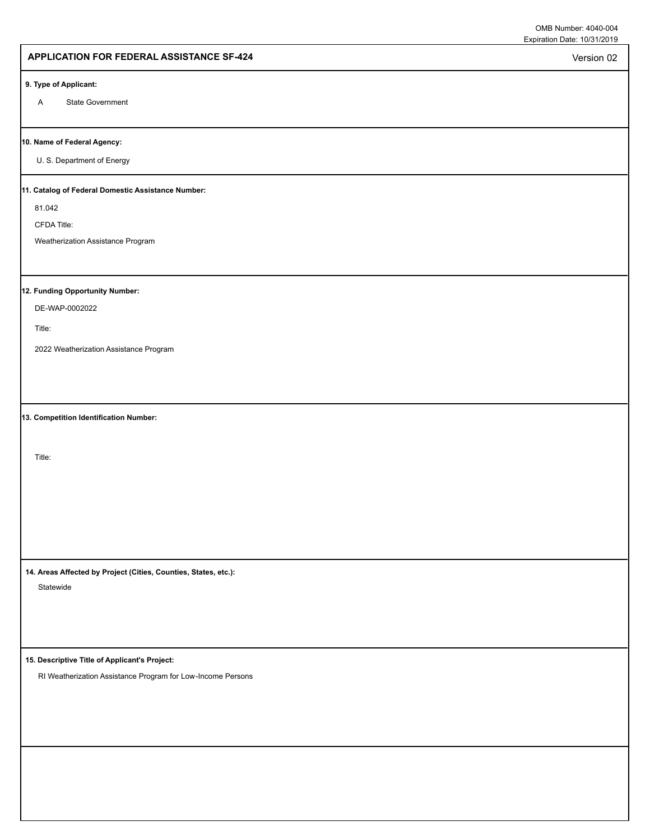Version 02

## **APPLICATION FOR FEDERAL ASSISTANCE SF-424**

#### **9. Type of Applicant:**

A State Government

#### **10. Name of Federal Agency:**

U. S. Department of Energy

#### **11. Catalog of Federal Domestic Assistance Number:**

81.042

CFDA Title:

Weatherization Assistance Program

## **12. Funding Opportunity Number:**

DE-WAP-0002022

Title:

2022 Weatherization Assistance Program

**13. Competition Identification Number:**

Title:

**14. Areas Affected by Project (Cities, Counties, States, etc.):**

Statewide

**15. Descriptive Title of Applicant's Project:**

RI Weatherization Assistance Program for Low-Income Persons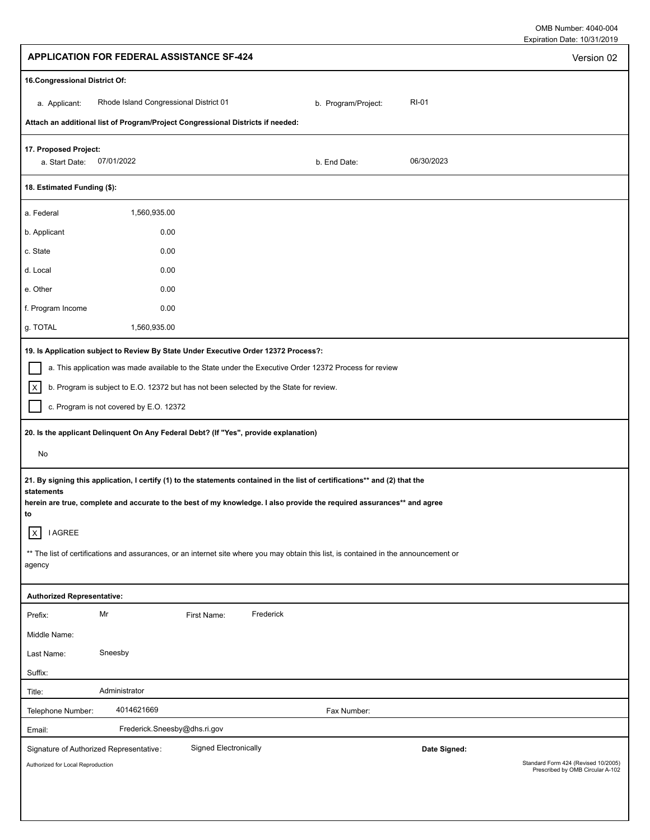| OMB Number: 4040-004        |  |
|-----------------------------|--|
| Expiration Date: 10/31/2019 |  |

| <b>APPLICATION FOR FEDERAL ASSISTANCE SF-424</b>                                                                                                                                                                                                                          | Version 02                                                              |
|---------------------------------------------------------------------------------------------------------------------------------------------------------------------------------------------------------------------------------------------------------------------------|-------------------------------------------------------------------------|
| 16. Congressional District Of:                                                                                                                                                                                                                                            |                                                                         |
| Rhode Island Congressional District 01<br><b>RI-01</b><br>b. Program/Project:<br>a. Applicant:                                                                                                                                                                            |                                                                         |
| Attach an additional list of Program/Project Congressional Districts if needed:                                                                                                                                                                                           |                                                                         |
| 17. Proposed Project:<br>07/01/2022<br>06/30/2023<br>a. Start Date:<br>b. End Date:                                                                                                                                                                                       |                                                                         |
| 18. Estimated Funding (\$):                                                                                                                                                                                                                                               |                                                                         |
| 1,560,935.00<br>a. Federal                                                                                                                                                                                                                                                |                                                                         |
| 0.00<br>b. Applicant                                                                                                                                                                                                                                                      |                                                                         |
| 0.00<br>c. State                                                                                                                                                                                                                                                          |                                                                         |
| 0.00<br>d. Local                                                                                                                                                                                                                                                          |                                                                         |
| 0.00<br>e. Other                                                                                                                                                                                                                                                          |                                                                         |
| f. Program Income<br>0.00                                                                                                                                                                                                                                                 |                                                                         |
| g. TOTAL<br>1,560,935.00                                                                                                                                                                                                                                                  |                                                                         |
| 19. Is Application subject to Review By State Under Executive Order 12372 Process?:                                                                                                                                                                                       |                                                                         |
| a. This application was made available to the State under the Executive Order 12372 Process for review                                                                                                                                                                    |                                                                         |
| $\vert x \vert$<br>b. Program is subject to E.O. 12372 but has not been selected by the State for review.                                                                                                                                                                 |                                                                         |
| c. Program is not covered by E.O. 12372                                                                                                                                                                                                                                   |                                                                         |
| 20. Is the applicant Delinquent On Any Federal Debt? (If "Yes", provide explanation)                                                                                                                                                                                      |                                                                         |
| No                                                                                                                                                                                                                                                                        |                                                                         |
| 21. By signing this application, I certify (1) to the statements contained in the list of certifications** and (2) that the<br>statements<br>herein are true, complete and accurate to the best of my knowledge. I also provide the required assurances** and agree<br>to |                                                                         |
| <b>I AGREE</b><br>$\vert x \vert$                                                                                                                                                                                                                                         |                                                                         |
| ** The list of certifications and assurances, or an internet site where you may obtain this list, is contained in the announcement or<br>agency                                                                                                                           |                                                                         |
| <b>Authorized Representative:</b>                                                                                                                                                                                                                                         |                                                                         |
| Mr<br>Frederick<br>First Name:<br>Prefix:                                                                                                                                                                                                                                 |                                                                         |
| Middle Name:                                                                                                                                                                                                                                                              |                                                                         |
| Sneesby<br>Last Name:                                                                                                                                                                                                                                                     |                                                                         |
| Suffix:                                                                                                                                                                                                                                                                   |                                                                         |
| Administrator<br>Title:                                                                                                                                                                                                                                                   |                                                                         |
| 4014621669<br>Telephone Number:<br>Fax Number:                                                                                                                                                                                                                            |                                                                         |
| Frederick.Sneesby@dhs.ri.gov<br>Email:                                                                                                                                                                                                                                    |                                                                         |
| <b>Signed Electronically</b><br>Signature of Authorized Representative:<br>Date Signed:                                                                                                                                                                                   |                                                                         |
| Authorized for Local Reproduction                                                                                                                                                                                                                                         | Standard Form 424 (Revised 10/2005)<br>Prescribed by OMB Circular A-102 |
|                                                                                                                                                                                                                                                                           |                                                                         |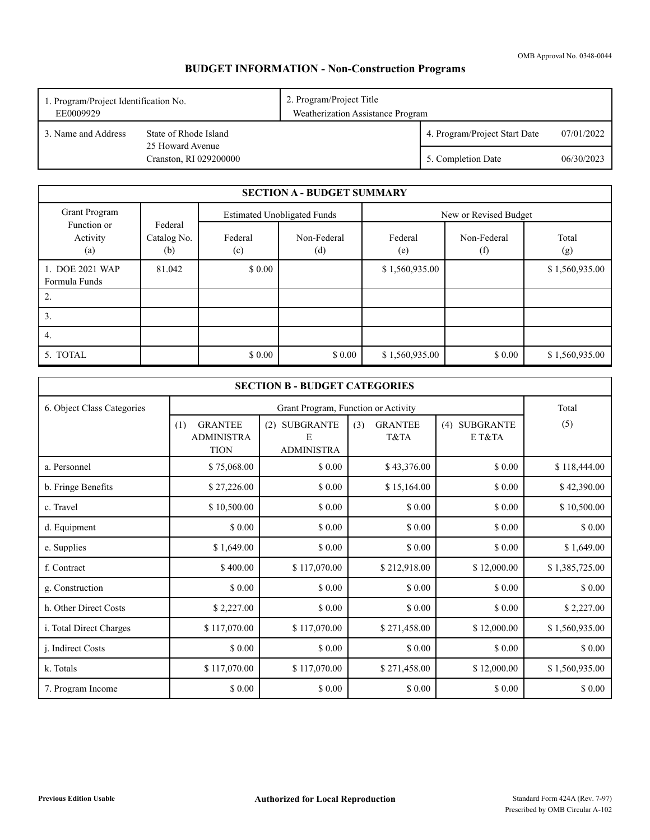OMB Approval No. 0348-0044

# **BUDGET INFORMATION - Non-Construction Programs**

| 2. Program/Project Title<br>1. Program/Project Identification No.<br>EE0009929 |                                            | Weatherization Assistance Program |                               |            |  |
|--------------------------------------------------------------------------------|--------------------------------------------|-----------------------------------|-------------------------------|------------|--|
| 3. Name and Address                                                            | State of Rhode Island                      |                                   | 4. Program/Project Start Date | 07/01/2022 |  |
|                                                                                | 25 Howard Avenue<br>Cranston, RI 029200000 |                                   | 5. Completion Date            | 06/30/2023 |  |

|                                  | <b>SECTION A - BUDGET SUMMARY</b> |                |                                    |                |                       |                |  |
|----------------------------------|-----------------------------------|----------------|------------------------------------|----------------|-----------------------|----------------|--|
| Grant Program                    |                                   |                | <b>Estimated Unobligated Funds</b> |                | New or Revised Budget |                |  |
| Function or<br>Activity<br>(a)   | Federal<br>Catalog No.<br>(b)     | Federal<br>(c) | Non-Federal<br>(d)                 | Federal<br>(e) | Non-Federal<br>(f)    | Total<br>(g)   |  |
| 1. DOE 2021 WAP<br>Formula Funds | 81.042                            | \$0.00         |                                    | \$1,560,935.00 |                       | \$1,560,935.00 |  |
| 2.                               |                                   |                |                                    |                |                       |                |  |
| 3.                               |                                   |                |                                    |                |                       |                |  |
| 4.                               |                                   |                |                                    |                |                       |                |  |
| 5. TOTAL                         |                                   | \$0.00         | \$0.00                             | \$1,560,935.00 | \$0.00                | \$1,560,935.00 |  |

| <b>SECTION B - BUDGET CATEGORIES</b> |                                                           |                                         |                               |                         |                |  |
|--------------------------------------|-----------------------------------------------------------|-----------------------------------------|-------------------------------|-------------------------|----------------|--|
| 6. Object Class Categories           |                                                           |                                         | Total                         |                         |                |  |
|                                      | <b>GRANTEE</b><br>(1)<br><b>ADMINISTRA</b><br><b>TION</b> | (2) SUBGRANTE<br>Е<br><b>ADMINISTRA</b> | <b>GRANTEE</b><br>(3)<br>T&TA | (4) SUBGRANTE<br>E T&TA | (5)            |  |
| a. Personnel                         | \$75,068.00                                               | \$0.00                                  | \$43,376.00                   | \$0.00                  | \$118,444.00   |  |
| b. Fringe Benefits                   | \$27,226.00                                               | \$0.00                                  | \$15,164.00                   | \$ 0.00                 | \$42,390.00    |  |
| c. Travel                            | \$10,500.00                                               | \$0.00                                  | \$0.00                        | \$0.00                  | \$10,500.00    |  |
| d. Equipment                         | \$0.00                                                    | \$0.00                                  | \$0.00                        | \$0.00                  | \$ 0.00        |  |
| e. Supplies                          | \$1,649.00                                                | \$0.00                                  | \$0.00                        | \$0.00                  | \$1,649.00     |  |
| f. Contract                          | \$400.00                                                  | \$117,070.00                            | \$212,918.00                  | \$12,000.00             | \$1,385,725.00 |  |
| g. Construction                      | \$ 0.00                                                   | \$0.00                                  | \$0.00                        | \$ 0.00                 | \$0.00         |  |
| h. Other Direct Costs                | \$2,227.00                                                | \$ 0.00                                 | \$ 0.00                       | \$0.00                  | \$2,227.00     |  |
| i. Total Direct Charges              | \$117,070.00                                              | \$117,070.00                            | \$271,458.00                  | \$12,000.00             | \$1,560,935.00 |  |
| <i>i.</i> Indirect Costs             | \$0.00                                                    | \$0.00                                  | \$0.00                        | \$0.00                  | \$0.00         |  |
| k. Totals                            | \$117,070.00                                              | \$117,070.00                            | \$271,458.00                  | \$12,000.00             | \$1,560,935.00 |  |
| 7. Program Income                    | \$0.00                                                    | \$ 0.00                                 | \$ 0.00                       | \$0.00                  | \$ 0.00        |  |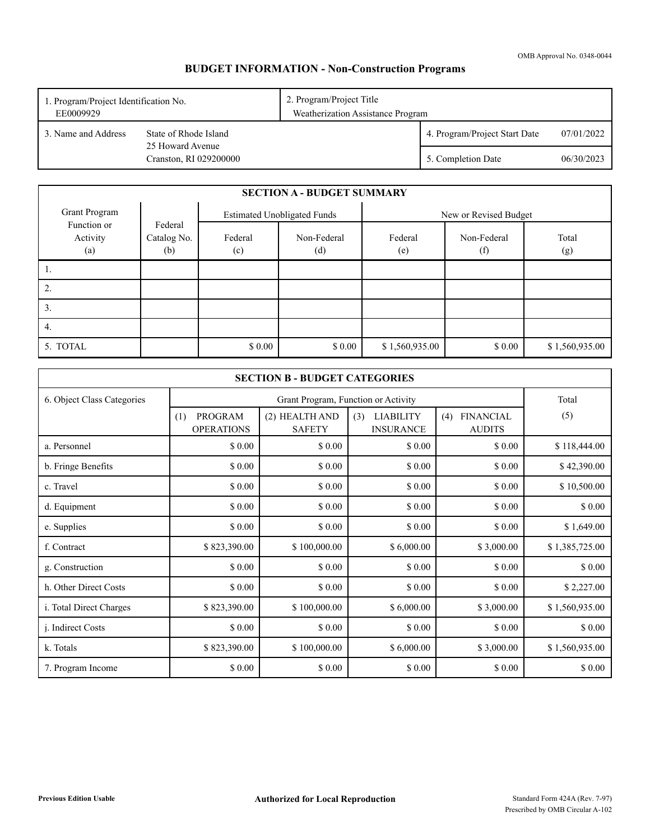# **BUDGET INFORMATION - Non-Construction Programs**

| 1. Program/Project Identification No.<br>EE0009929 |                                            | 2. Program/Project Title<br>Weatherization Assistance Program |                               |            |  |
|----------------------------------------------------|--------------------------------------------|---------------------------------------------------------------|-------------------------------|------------|--|
| 3. Name and Address                                | State of Rhode Island                      |                                                               | 4. Program/Project Start Date | 07/01/2022 |  |
|                                                    | 25 Howard Avenue<br>Cranston, RI 029200000 |                                                               | 5. Completion Date            | 06/30/2023 |  |

|                                | <b>SECTION A - BUDGET SUMMARY</b> |                                    |                    |                       |                    |                |
|--------------------------------|-----------------------------------|------------------------------------|--------------------|-----------------------|--------------------|----------------|
| Grant Program                  |                                   | <b>Estimated Unobligated Funds</b> |                    | New or Revised Budget |                    |                |
| Function or<br>Activity<br>(a) | Federal<br>Catalog No.<br>(b)     | Federal<br>(c)                     | Non-Federal<br>(d) | Federal<br>(e)        | Non-Federal<br>(f) | Total<br>(g)   |
|                                |                                   |                                    |                    |                       |                    |                |
| ۷.                             |                                   |                                    |                    |                       |                    |                |
| 3.                             |                                   |                                    |                    |                       |                    |                |
| 4.                             |                                   |                                    |                    |                       |                    |                |
| 5. TOTAL                       |                                   | \$0.00                             | \$0.00             | \$1,560,935.00        | \$0.00             | \$1,560,935.00 |

| <b>SECTION B - BUDGET CATEGORIES</b> |                                     |                                     |                                             |                                          |                |  |  |  |
|--------------------------------------|-------------------------------------|-------------------------------------|---------------------------------------------|------------------------------------------|----------------|--|--|--|
| 6. Object Class Categories           |                                     | Grant Program, Function or Activity |                                             |                                          |                |  |  |  |
|                                      | PROGRAM<br>(1)<br><b>OPERATIONS</b> | (2) HEALTH AND<br><b>SAFETY</b>     | <b>LIABILITY</b><br>(3)<br><b>INSURANCE</b> | <b>FINANCIAL</b><br>(4)<br><b>AUDITS</b> | (5)            |  |  |  |
| a. Personnel                         | \$0.00                              | \$0.00                              | \$0.00                                      | \$0.00                                   | \$118,444.00   |  |  |  |
| b. Fringe Benefits                   | \$ 0.00                             | \$0.00                              | \$0.00                                      | \$ 0.00                                  | \$42,390.00    |  |  |  |
| c. Travel                            | \$ 0.00                             | \$0.00                              | \$0.00                                      | \$ 0.00                                  | \$10,500.00    |  |  |  |
| d. Equipment                         | \$0.00                              | \$0.00                              | \$0.00                                      | \$0.00                                   | \$0.00         |  |  |  |
| e. Supplies                          | \$0.00                              | \$0.00                              | \$0.00                                      | \$0.00                                   | \$1,649.00     |  |  |  |
| f. Contract                          | \$823,390.00                        | \$100,000.00                        | \$6,000.00                                  | \$3,000.00                               | \$1,385,725.00 |  |  |  |
| g. Construction                      | \$0.00                              | \$0.00                              | \$0.00                                      | \$0.00                                   | \$0.00         |  |  |  |
| h. Other Direct Costs                | \$ 0.00                             | \$0.00                              | \$0.00                                      | \$ 0.00                                  | \$2,227.00     |  |  |  |
| i. Total Direct Charges              | \$823,390.00                        | \$100,000.00                        | \$6,000.00                                  | \$3,000.00                               | \$1,560,935.00 |  |  |  |
| <i>i.</i> Indirect Costs             | \$ 0.00                             | \$0.00                              | \$0.00                                      | \$ 0.00                                  | \$0.00         |  |  |  |
| k. Totals                            | \$823,390.00                        | \$100,000.00                        | \$6,000.00                                  | \$3,000.00                               | \$1,560,935.00 |  |  |  |
| 7. Program Income                    | \$0.00                              | \$0.00                              | \$0.00                                      | \$0.00                                   | \$0.00         |  |  |  |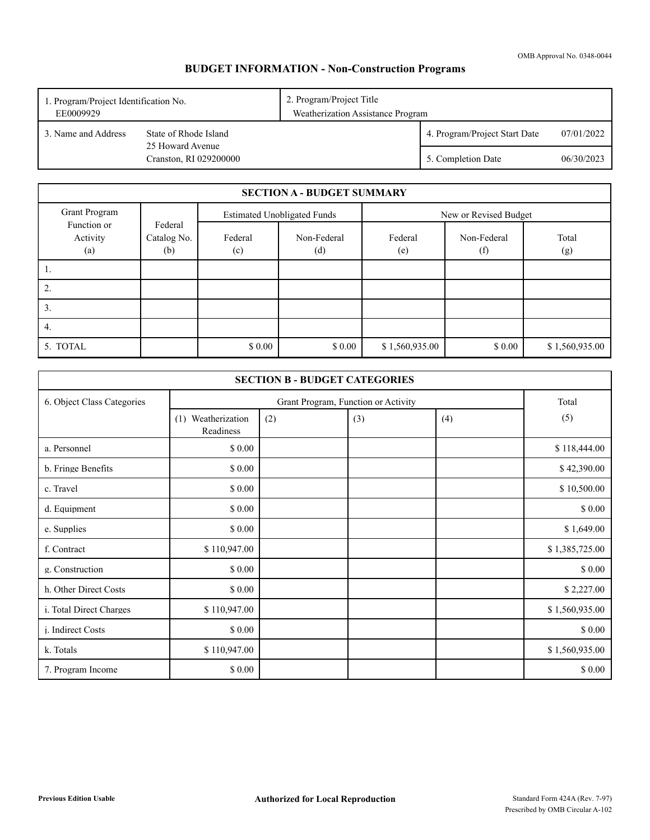# **BUDGET INFORMATION - Non-Construction Programs**

| 2. Program/Project Title<br>1. Program/Project Identification No.<br>EE0009929 |                                            | Weatherization Assistance Program |                               |            |  |
|--------------------------------------------------------------------------------|--------------------------------------------|-----------------------------------|-------------------------------|------------|--|
| 3. Name and Address                                                            | State of Rhode Island                      |                                   | 4. Program/Project Start Date | 07/01/2022 |  |
|                                                                                | 25 Howard Avenue<br>Cranston, RI 029200000 |                                   | 5. Completion Date            | 06/30/2023 |  |

|                                | <b>SECTION A - BUDGET SUMMARY</b> |                                    |                    |                       |                    |                |
|--------------------------------|-----------------------------------|------------------------------------|--------------------|-----------------------|--------------------|----------------|
| Grant Program                  |                                   | <b>Estimated Unobligated Funds</b> |                    | New or Revised Budget |                    |                |
| Function or<br>Activity<br>(a) | Federal<br>Catalog No.<br>(b)     | Federal<br>(c)                     | Non-Federal<br>(d) | Federal<br>(e)        | Non-Federal<br>(f) | Total<br>(g)   |
| 1.                             |                                   |                                    |                    |                       |                    |                |
| 2.                             |                                   |                                    |                    |                       |                    |                |
| 3.                             |                                   |                                    |                    |                       |                    |                |
| 4.                             |                                   |                                    |                    |                       |                    |                |
| 5. TOTAL                       |                                   | \$0.00                             | \$0.00             | \$1,560,935.00        | \$0.00             | \$1,560,935.00 |

| <b>SECTION B - BUDGET CATEGORIES</b> |                                 |     |                                     |     |                |  |
|--------------------------------------|---------------------------------|-----|-------------------------------------|-----|----------------|--|
| 6. Object Class Categories           |                                 |     | Grant Program, Function or Activity |     | Total          |  |
|                                      | (1) Weatherization<br>Readiness | (2) | (3)                                 | (4) | (5)            |  |
| a. Personnel                         | \$ 0.00                         |     |                                     |     | \$118,444.00   |  |
| b. Fringe Benefits                   | \$0.00                          |     |                                     |     | \$42,390.00    |  |
| c. Travel                            | \$ 0.00                         |     |                                     |     | \$10,500.00    |  |
| d. Equipment                         | \$0.00                          |     |                                     |     | \$0.00         |  |
| e. Supplies                          | \$0.00                          |     |                                     |     | \$1,649.00     |  |
| f. Contract                          | \$110,947.00                    |     |                                     |     | \$1,385,725.00 |  |
| g. Construction                      | \$0.00                          |     |                                     |     | \$0.00         |  |
| h. Other Direct Costs                | \$ 0.00                         |     |                                     |     | \$2,227.00     |  |
| i. Total Direct Charges              | \$110,947.00                    |     |                                     |     | \$1,560,935.00 |  |
| j. Indirect Costs                    | \$ 0.00                         |     |                                     |     | \$ 0.00        |  |
| k. Totals                            | \$110,947.00                    |     |                                     |     | \$1,560,935.00 |  |
| 7. Program Income                    | \$0.00                          |     |                                     |     | \$ 0.00        |  |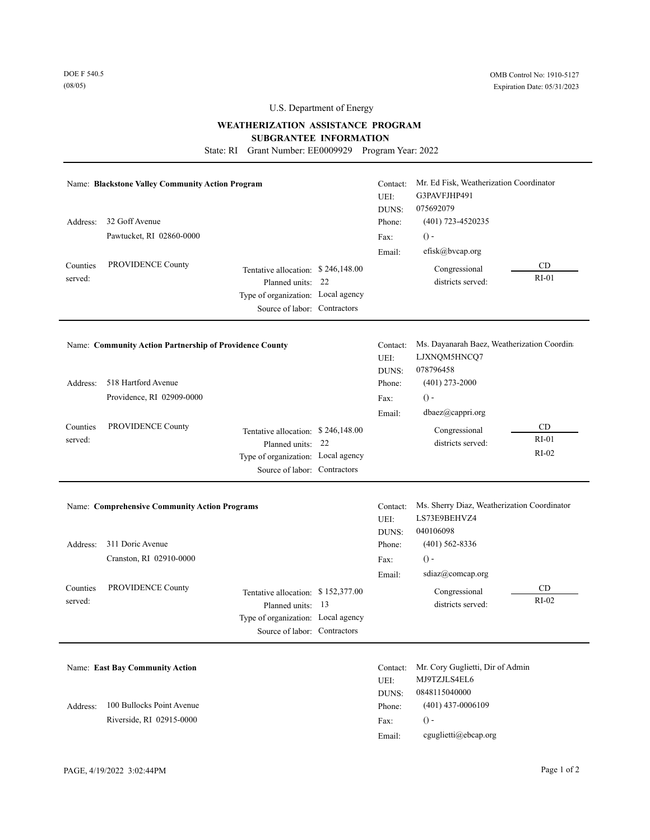## **WEATHERIZATION ASSISTANCE PROGRAM**

**SUBGRANTEE INFORMATION** 

State: RI Grant Number: EE0009929 Program Year: 2022

| Address:<br>Counties<br>served: | Name: Blackstone Valley Community Action Program<br>32 Goff Avenue<br>Pawtucket, RI 02860-0000<br>PROVIDENCE County | Tentative allocation: \$246,148.00<br>22<br>Planned units:<br>Type of organization: Local agency<br>Source of labor: Contractors | Contact:<br>UEI:<br>DUNS:<br>Phone:<br>Fax:<br>Email: | Mr. Ed Fisk, Weatherization Coordinator<br>G3PAVFJHP491<br>075692079<br>(401) 723-4520235<br>$() -$<br>efisk@bvcap.org<br>Congressional<br>districts served: | CD<br>$RI-01$            |
|---------------------------------|---------------------------------------------------------------------------------------------------------------------|----------------------------------------------------------------------------------------------------------------------------------|-------------------------------------------------------|--------------------------------------------------------------------------------------------------------------------------------------------------------------|--------------------------|
|                                 | Name: Community Action Partnership of Providence County                                                             |                                                                                                                                  | Contact:<br>UEI:                                      | Ms. Dayanarah Baez, Weatherization Coordin<br>LJXNQM5HNCQ7                                                                                                   |                          |
| Address:                        | 518 Hartford Avenue                                                                                                 |                                                                                                                                  | DUNS:<br>Phone:                                       | 078796458<br>$(401)$ 273-2000                                                                                                                                |                          |
|                                 | Providence, RI 02909-0000                                                                                           |                                                                                                                                  | Fax:                                                  | $() -$                                                                                                                                                       |                          |
|                                 |                                                                                                                     |                                                                                                                                  | Email:                                                | dbaez@cappri.org                                                                                                                                             |                          |
| Counties<br>served:             | PROVIDENCE County                                                                                                   | Tentative allocation: \$246,148.00<br>22<br>Planned units:<br>Type of organization: Local agency<br>Source of labor: Contractors |                                                       | Congressional<br>districts served:                                                                                                                           | CD<br>$RI-01$<br>$RI-02$ |
|                                 | <b>Name: Comprehensive Community Action Programs</b>                                                                |                                                                                                                                  | Contact:<br>UEI:<br>DUNS:                             | Ms. Sherry Diaz, Weatherization Coordinator<br>LS73E9BEHVZ4<br>040106098                                                                                     |                          |
| Address:                        | 311 Doric Avenue                                                                                                    |                                                                                                                                  | Phone:                                                | $(401)$ 562-8336                                                                                                                                             |                          |
|                                 | Cranston, RI 02910-0000                                                                                             |                                                                                                                                  | Fax:                                                  | $() -$                                                                                                                                                       |                          |
|                                 |                                                                                                                     |                                                                                                                                  | Email:                                                | sdiaz@comcap.org                                                                                                                                             |                          |
| Counties<br>served:             | PROVIDENCE County                                                                                                   | Tentative allocation: \$152,377.00<br>13<br>Planned units:<br>Type of organization: Local agency<br>Source of labor: Contractors |                                                       | Congressional<br>districts served:                                                                                                                           | CD<br>$RI-02$            |
|                                 | <b>Name: East Bay Community Action</b>                                                                              |                                                                                                                                  | Contact:<br>UEI:<br>DUNS:                             | Mr. Cory Guglietti, Dir of Admin<br>MJ9TZJLS4EL6<br>0848115040000                                                                                            |                          |

Riverside, RI 02915-0000

Address: 100 Bullocks Point Avenue

 $() -$ Phone: (401) 437-0006109 Fax: Email: cguglietti@ebcap.org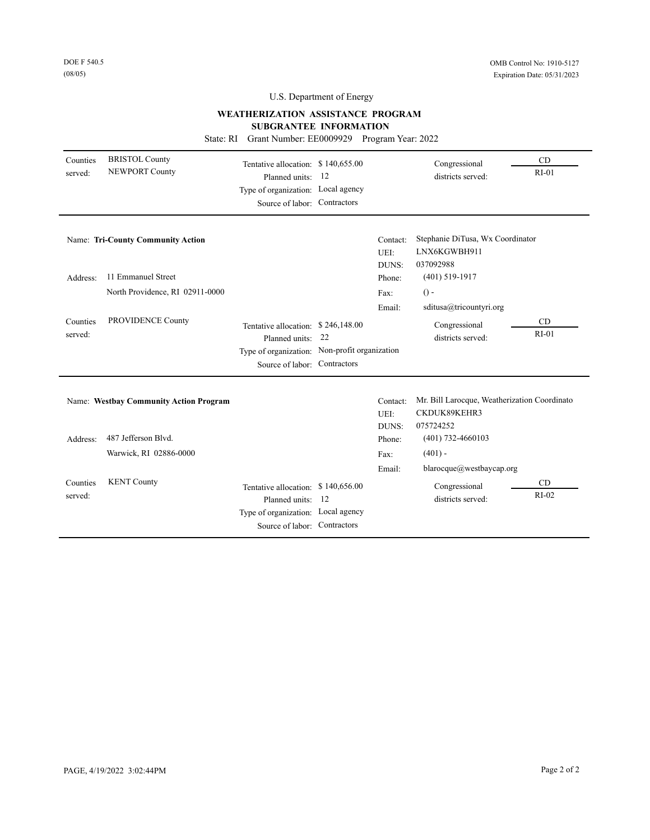## **WEATHERIZATION ASSISTANCE PROGRAM**

### **SUBGRANTEE INFORMATION**

State: RI Grant Number: EE0009929 Program Year: 2022

| Counties<br>served: | <b>BRISTOL County</b><br><b>NEWPORT County</b> | Tentative allocation: \$140,655.00<br>Planned units:<br>Type of organization: Local agency<br>Source of labor: Contractors    | -12 |                           | Congressional<br>districts served:                                        | CD<br>$RI-01$ |
|---------------------|------------------------------------------------|-------------------------------------------------------------------------------------------------------------------------------|-----|---------------------------|---------------------------------------------------------------------------|---------------|
|                     | <b>Name: Tri-County Community Action</b>       |                                                                                                                               |     | Contact:<br>UEI:<br>DUNS: | Stephanie DiTusa, Wx Coordinator<br>LNX6KGWBH911<br>037092988             |               |
| Address:            | 11 Emmanuel Street                             |                                                                                                                               |     | Phone:                    | $(401)$ 519-1917                                                          |               |
|                     | North Providence, RI 02911-0000                |                                                                                                                               |     | Fax:                      | $() -$                                                                    |               |
|                     |                                                |                                                                                                                               |     | Email:                    | sditusa@tricountyri.org                                                   |               |
| Counties<br>served: | PROVIDENCE County                              | Tentative allocation: \$246,148.00<br>Planned units: 22                                                                       |     |                           | Congressional<br>districts served:                                        | CD<br>$RI-01$ |
|                     |                                                | Type of organization: Non-profit organization<br>Source of labor: Contractors                                                 |     |                           |                                                                           |               |
|                     | Name: Westbay Community Action Program         |                                                                                                                               |     | Contact:<br>UEI:<br>DUNS: | Mr. Bill Larocque, Weatherization Coordinato<br>CKDUK89KEHR3<br>075724252 |               |
| Address:            | 487 Jefferson Blvd.                            |                                                                                                                               |     | Phone:                    | $(401)$ 732-4660103                                                       |               |
|                     | Warwick, RI 02886-0000                         |                                                                                                                               |     | Fax:                      | $(401) -$                                                                 |               |
|                     |                                                |                                                                                                                               |     | Email:                    | blarocque@westbaycap.org                                                  |               |
| Counties<br>served: | <b>KENT County</b>                             | Tentative allocation: \$140,656.00<br>Planned units: 12<br>Type of organization: Local agency<br>Source of labor: Contractors |     |                           | Congressional<br>districts served:                                        | CD<br>$RI-02$ |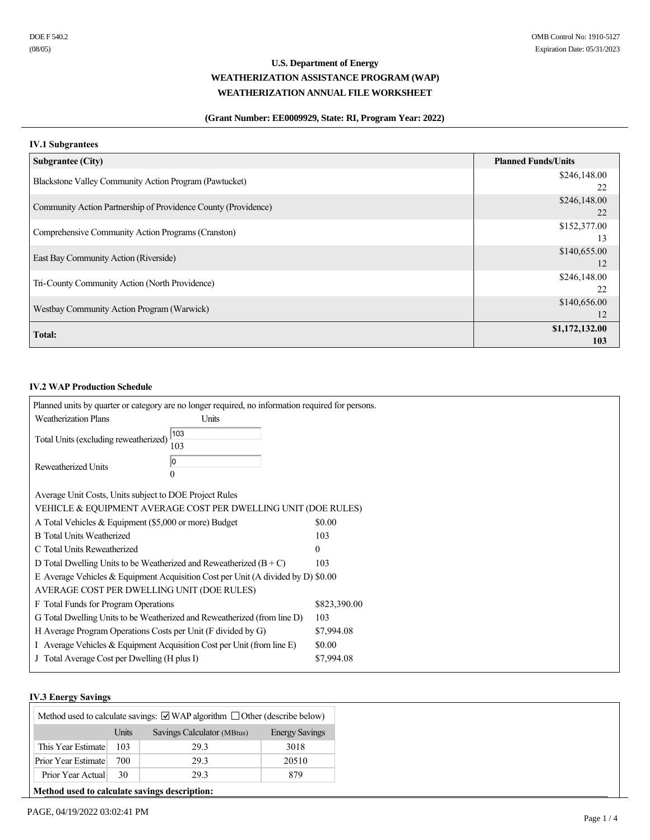## **(Grant Number: EE0009929, State: RI, Program Year: 2022)**

## **IV.1 Subgrantees**

| <b>Subgrantee (City)</b>                                       | <b>Planned Funds/Units</b> |
|----------------------------------------------------------------|----------------------------|
| Blackstone Valley Community Action Program (Pawtucket)         | \$246,148.00               |
|                                                                | 22                         |
| Community Action Partnership of Providence County (Providence) | \$246,148.00               |
|                                                                | 22                         |
| Comprehensive Community Action Programs (Cranston)             | \$152,377.00               |
|                                                                | 13                         |
|                                                                | \$140,655.00               |
| East Bay Community Action (Riverside)                          | 12                         |
|                                                                | \$246,148.00               |
| Tri-County Community Action (North Providence)                 | 22                         |
|                                                                | \$140,656.00               |
| Westbay Community Action Program (Warwick)                     | 12                         |
|                                                                | \$1,172,132.00             |
| <b>Total:</b>                                                  | 103                        |

## **IV.2 WAP Production Schedule**

| Planned units by quarter or category are no longer required, no information required for persons. |                                                                                   |              |  |
|---------------------------------------------------------------------------------------------------|-----------------------------------------------------------------------------------|--------------|--|
| <b>Weatherization Plans</b>                                                                       | <b>Units</b>                                                                      |              |  |
| Total Units (excluding reweatherized)                                                             | 103<br>103                                                                        |              |  |
| Reweatherized Units                                                                               | 10<br>0                                                                           |              |  |
| Average Unit Costs, Units subject to DOE Project Rules                                            |                                                                                   |              |  |
|                                                                                                   | VEHICLE & EQUIPMENT AVERAGE COST PER DWELLING UNIT (DOE RULES)                    |              |  |
| A Total Vehicles & Equipment (\$5,000 or more) Budget                                             |                                                                                   | \$0.00       |  |
| <b>B</b> Total Units Weatherized                                                                  |                                                                                   | 103          |  |
| C Total Units Reweatherized                                                                       |                                                                                   | $\Omega$     |  |
| D Total Dwelling Units to be Weatherized and Reweatherized $(B+C)$                                |                                                                                   | 103          |  |
|                                                                                                   | E Average Vehicles & Equipment Acquisition Cost per Unit (A divided by D) $$0.00$ |              |  |
| AVERAGE COST PER DWELLING UNIT (DOE RULES)                                                        |                                                                                   |              |  |
| F Total Funds for Program Operations                                                              |                                                                                   | \$823,390.00 |  |
|                                                                                                   | G Total Dwelling Units to be Weatherized and Reweatherized (from line D)          | 103          |  |
| H Average Program Operations Costs per Unit (F divided by G)                                      |                                                                                   | \$7,994.08   |  |
| I Average Vehicles $&$ Equipment Acquisition Cost per Unit (from line E)                          |                                                                                   | \$0.00       |  |
| J Total Average Cost per Dwelling (H plus I)                                                      |                                                                                   | \$7,994.08   |  |

## **IV.3 Energy Savings**

| Method used to calculate savings: $\Box$ WAP algorithm $\Box$ Other (describe below) |       |                            |                       |
|--------------------------------------------------------------------------------------|-------|----------------------------|-----------------------|
|                                                                                      | Units | Savings Calculator (MBtus) | <b>Energy Savings</b> |
| This Year Estimate                                                                   | 103   | 29.3                       | 3018                  |
| Prior Year Estimate                                                                  | 700   | 29.3                       | 20510                 |
| Prior Year Actual                                                                    | 30    | 29.3                       | 879                   |
| Method used to calculate savings description:                                        |       |                            |                       |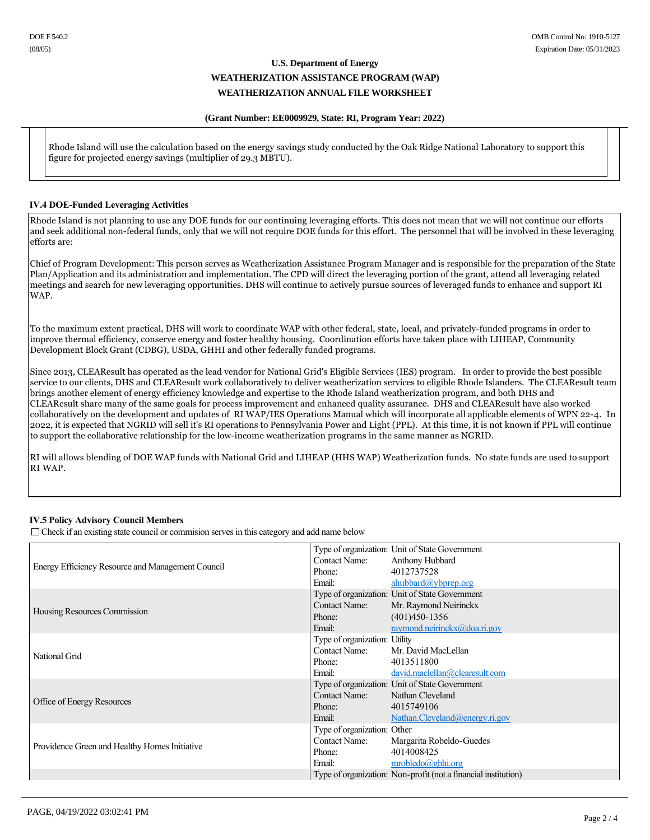### **(Grant Number: EE0009929, State: RI, Program Year: 2022)**

Rhode Island will use the calculation based on the energy savings study conducted by the Oak Ridge National Laboratory to support this figure for projected energy savings (multiplier of 29.3 MBTU).

### **IV.4 DOE-Funded Leveraging Activities**

Rhode Island is not planning to use any DOE funds for our continuing leveraging efforts. This does not mean that we will not continue our efforts and seek additional non-federal funds, only that we will not require DOE funds for this effort. The personnel that will be involved in these leveraging efforts are:

Chief of Program Development: This person serves as Weatherization Assistance Program Manager and is responsible for the preparation of the State Plan/Application and its administration and implementation. The CPD will direct the leveraging portion of the grant, attend all leveraging related meetings and search for new leveraging opportunities. DHS will continue to actively pursue sources of leveraged funds to enhance and support RI WAP.

To the maximum extent practical, DHS will work to coordinate WAP with other federal, state, local, and privately-funded programs in order to improve thermal efficiency, conserve energy and foster healthy housing. Coordination efforts have taken place with LIHEAP, Community Development Block Grant (CDBG), USDA, GHHI and other federally funded programs.

Since 2013, CLEAResult has operated as the lead vendor for National Grid's Eligible Services (IES) program. In order to provide the best possible service to our clients, DHS and CLEAResult work collaboratively to deliver weatherization services to eligible Rhode Islanders. The CLEAResult team brings another element of energy efficiency knowledge and expertise to the Rhode Island weatherization program, and both DHS and CLEAResult share many of the same goals for process improvement and enhanced quality assurance. DHS and CLEAResult have also worked collaboratively on the development and updates of RI WAP/IES Operations Manual which will incorporate all applicable elements of WPN 22-4. In 2022, it is expected that NGRID will sell it's RI operations to Pennsylvania Power and Light (PPL). At this time, it is not known if PPL will continue to support the collaborative relationship for the low-income weatherization programs in the same manner as NGRID.

RI will allows blending of DOE WAP funds with National Grid and LIHEAP (HHS WAP) Weatherization funds. No state funds are used to support RI WAP.

## **IV.5 Policy Advisory Council Members**

 $\Box$  Check if an existing state council or commision serves in this category and add name below

|                                                   |                                                                                                                                                                                                                                | Type of organization: Unit of State Government                 |
|---------------------------------------------------|--------------------------------------------------------------------------------------------------------------------------------------------------------------------------------------------------------------------------------|----------------------------------------------------------------|
|                                                   | Contact Name:                                                                                                                                                                                                                  | Anthony Hubbard                                                |
| Energy Efficiency Resource and Management Council | Phone:                                                                                                                                                                                                                         | 4012737528                                                     |
|                                                   | Email:                                                                                                                                                                                                                         | ahubbard@ybprep.org                                            |
|                                                   |                                                                                                                                                                                                                                | Type of organization: Unit of State Government                 |
| Housing Resources Commission                      | Contact Name:                                                                                                                                                                                                                  | Mr. Raymond Neirinckx                                          |
|                                                   | Phone:                                                                                                                                                                                                                         | $(401)450 - 1356$                                              |
|                                                   | Email: The Contract of the Contract of the Contract of the Contract of the Contract of the Contract of the Contract of the Contract of the Contract of the Contract of the Contract of the Contract of the Contract of the Con | raymond.neirinck $x$ ( $\partial$ ,doa.ri.gov                  |
|                                                   | Type of organization: Utility                                                                                                                                                                                                  |                                                                |
| National Grid                                     | Contact Name:                                                                                                                                                                                                                  | Mr. David MacLellan                                            |
|                                                   | Phone:                                                                                                                                                                                                                         | 4013511800                                                     |
|                                                   | Email:                                                                                                                                                                                                                         | david.maclellan@clearesult.com                                 |
|                                                   |                                                                                                                                                                                                                                | Type of organization: Unit of State Government                 |
| Office of Energy Resources                        | Contact Name: Nathan Cleveland                                                                                                                                                                                                 |                                                                |
|                                                   | Phone:                                                                                                                                                                                                                         | 4015749106                                                     |
|                                                   | Email: The Company of the Company of the Company of the Company of the Company of the Company of the Company of the Company of the Company of the Company of the Company of the Company of the Company of the Company of the C | Nathan.Cleveland@energy.ri.gov                                 |
|                                                   | Type of organization: Other                                                                                                                                                                                                    |                                                                |
| Providence Green and Healthy Homes Initiative     | <b>Contact Name:</b>                                                                                                                                                                                                           | Margarita Robeldo-Guedes                                       |
|                                                   | Phone:                                                                                                                                                                                                                         | 4014008425                                                     |
|                                                   | Email:                                                                                                                                                                                                                         | mrobledo(a)ghhi.org                                            |
|                                                   |                                                                                                                                                                                                                                | Type of organization: Non-profit (not a financial institution) |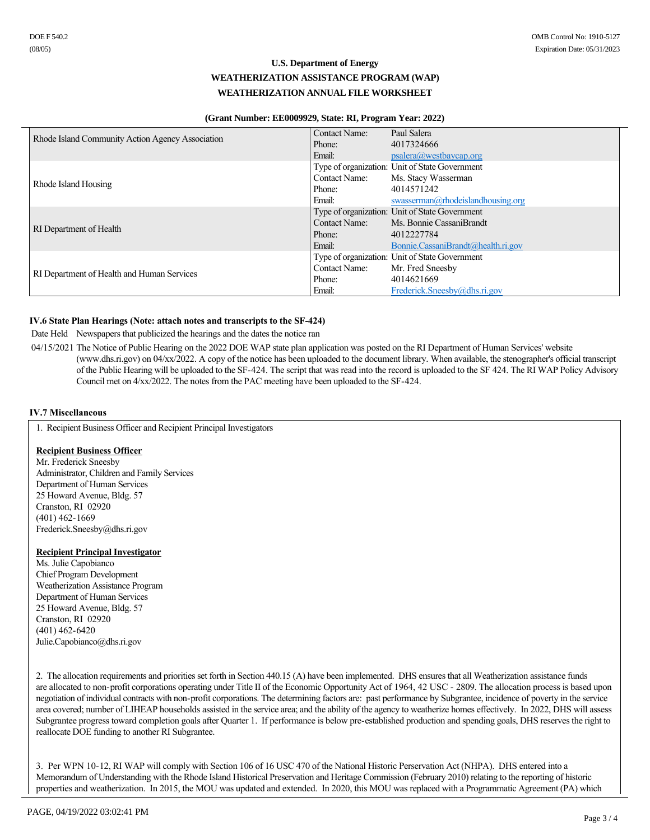### **(Grant Number: EE0009929, State: RI, Program Year: 2022)**

|                                                  | Contact Name:        | Paul Salera                                    |
|--------------------------------------------------|----------------------|------------------------------------------------|
| Rhode Island Community Action Agency Association | Phone:               | 4017324666                                     |
|                                                  | Email:               | psalera@westbaycap.org                         |
|                                                  |                      | Type of organization: Unit of State Government |
| Rhode Island Housing                             | <b>Contact Name:</b> | Ms. Stacy Wasserman                            |
|                                                  | Phone:               | 4014571242                                     |
|                                                  | Email:               | swasserman@rhodeislandhousing.org              |
|                                                  |                      | Type of organization: Unit of State Government |
|                                                  | Contact Name:        | Ms. Bonnie CassaniBrandt                       |
| RI Department of Health                          | Phone:               | 4012227784                                     |
|                                                  | Email:               | Bonnie.CassaniBrandt@health.ri.gov             |
|                                                  |                      | Type of organization: Unit of State Government |
|                                                  | <b>Contact Name:</b> | Mr. Fred Sneesby                               |
| RI Department of Health and Human Services       | Phone:               | 4014621669                                     |
|                                                  | Email:               | Frederick.Sneesby@dhs.ri.gov                   |

## **IV.6 State Plan Hearings (Note: attach notes and transcripts to the SF-424)**

Date Held Newspapers that publicized the hearings and the dates the notice ran

04/15/2021 The Notice of Public Hearing on the 2022 DOE WAP state plan application was posted on the RI Department of Human Services' website (www.dhs.ri.gov) on 04/xx/2022. A copy of the notice has been uploaded to the document library. When available, the stenographer's official transcript of the Public Hearing will be uploaded to the SF-424. The script that was read into the record is uploaded to the SF 424. The RI WAP Policy Advisory Council met on  $4/xx/2022$ . The notes from the PAC meeting have been uploaded to the SF-424.

## **IV.7 Miscellaneous**

1. Recipient Business Officer and Recipient Principal Investigators

### **Recipient Business Officer**

Mr. Frederick Sneesby Administrator, Children and Family Services Department of Human Services 25 Howard Avenue, Bldg. 57 Cranston, RI 02920  $(401)$  462-1669 Frederick.Sneesby@dhs.ri.gov

### **Recipient Principal Investigator**

Ms. Julie Capobianco Chief Program Development Weatherization Assistance Program Department of Human Services 25 Howard Avenue, Bldg. 57 Cranston, RI 02920  $(401)$  462-6420 Julie.Capobianco@dhs.ri.gov

2. The allocation requirements and priorities set forth in Section 440.15 (A) have been implemented. DHS ensures that all Weatherization assistance funds are allocated to non-profit corporations operating under Title II of the Economic Opportunity Act of 1964, 42 USC - 2809. The allocation process is based upon negotiation of individual contracts with non-profit corporations. The determining factors are: past performance by Subgrantee, incidence of poverty in the service area covered; number of LIHEAP households assisted in the service area; and the ability of the agency to weatherize homes effectively. In 2022, DHS will assess Subgrantee progress toward completion goals after Quarter 1. If performance is below pre-established production and spending goals, DHS reserves the right to reallocate DOE funding to another RI Subgrantee.

3. Per WPN 10-12, RI WAP will comply with Section 106 of 16 USC 470 of the National Historic Perservation Act (NHPA). DHS entered into a Memorandum of Understanding with the Rhode Island Historical Preservation and Heritage Commission (February 2010) relating to the reporting of historic properties and weatherization. In 2015, the MOU was updated and extended. In 2020, this MOU was replaced with a Programmatic Agreement (PA) which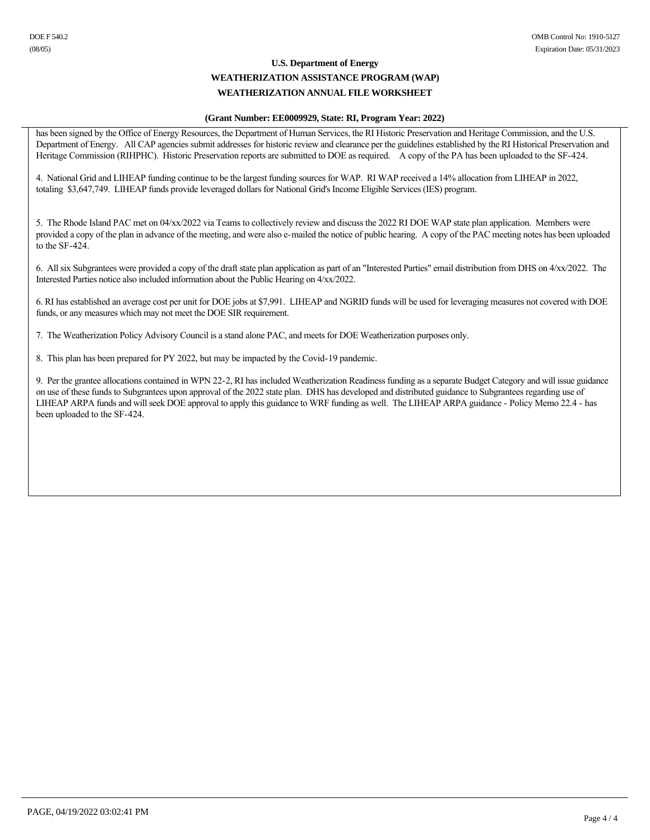### **(Grant Number: EE0009929, State: RI, Program Year: 2022)**

has been signed by the Office of Energy Resources, the Department of Human Services, the RI Historic Preservation and Heritage Commission, and the U.S. Department of Energy. All CAP agencies submit addresses for historic review and clearance per the guidelines established by the RI Historical Preservation and Heritage Commission (RIHPHC). Historic Preservation reports are submitted to DOE as required. A copy of the PA has been uploaded to the SF-424.

4. National Grid and LIHEAP funding continue to be the largest funding sources for WAP. RI WAP received a 14% allocation from LIHEAP in 2022, totaling \$3,647,749. LIHEAP funds provide leveraged dollars for National Grid's Income Eligible Services (IES) program.

5. The Rhode Island PAC met on 04/xx/2022 via Teams to collectively review and discuss the 2022 RI DOE WAP state plan application. Members were provided a copy of the plan in advance of the meeting, and were also e-mailed the notice of public hearing. A copy of the PAC meeting notes has been uploaded to the SF-424.

6. All six Subgrantees were provided a copy of the draft state plan application as part of an "Interested Parties" email distribution from DHS on 4/xx/2022. The Interested Parties notice also included information about the Public Hearing on 4/xx/2022.

6. RI has established an average cost per unit for DOE jobs at \$7,991. LIHEAP and NGRID funds will be used for leveraging measures not covered with DOE funds, or any measures which may not meet the DOE SIR requirement.

7. The Weatherization Policy Advisory Council is a stand alone PAC, and meets for DOE Weatherization purposes only.

8. This plan has been prepared for PY 2022, but may be impacted by the Covid-19 pandemic.

9. Per the grantee allocations contained in WPN 222, RI has included Weatherization Readiness funding as a separate Budget Category and will issue guidance on use of these funds to Subgrantees upon approval of the 2022 state plan. DHS has developed and distributed guidance to Subgrantees regarding use of LIHEAP ARPA funds and will seek DOE approval to apply this guidance to WRF funding as well. The LIHEAP ARPA guidance Policy Memo 22.4 has been uploaded to the SF-424.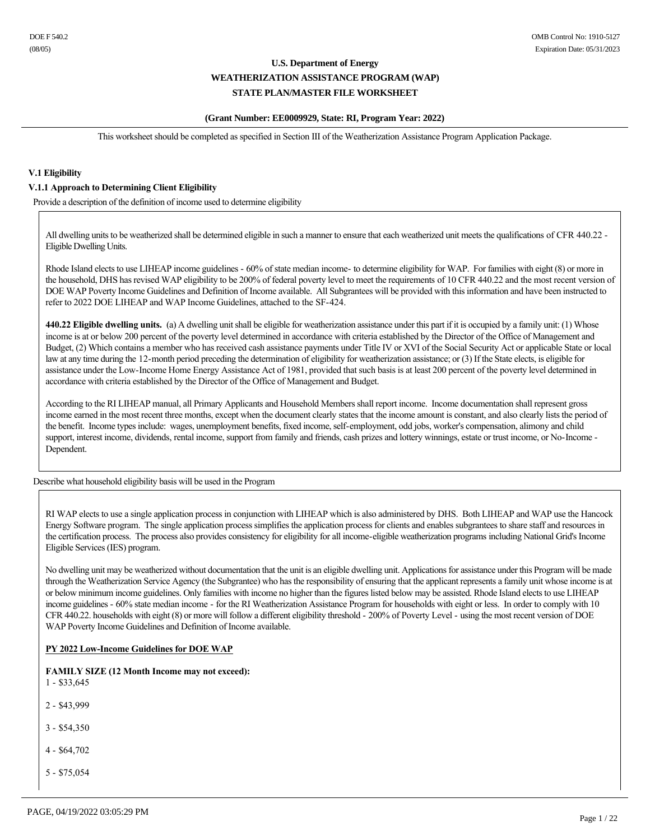### **(Grant Number: EE0009929, State: RI, Program Year: 2022)**

This worksheet should be completed as specified in Section III of the Weatherization Assistance Program Application Package.

### **V.1 Eligibility**

### **V.1.1 Approach to Determining Client Eligibility**

Provide a description of the definition of income used to determine eligibility

All dwelling units to be weatherized shall be determined eligible in such a manner to ensure that each weatherized unit meets the qualifications of CFR 440.22 Eligible Dwelling Units.

Rhode Island elects to use LIHEAP income guidelines - 60% of state median income- to determine eligibility for WAP. For families with eight (8) or more in the household, DHS has revised WAP eligibility to be 200% of federal poverty level to meet the requirements of 10 CFR 440.22 and the most recent version of DOE WAP Poverty Income Guidelines and Definition of Income available. All Subgrantees will be provided with this information and have been instructed to refer to 2022 DOE LIHEAP and WAP Income Guidelines, attached to the SF-424.

**440.22 Eligible dwelling units.** (a) A dwelling unit shall be eligible for weatherization assistance under this part if it is occupied by a family unit: (1) Whose income is at or below 200 percent of the poverty level determined in accordance with criteria established by the Director of the Office of Management and Budget, (2) Which contains a member who has received cash assistance payments under Title IV or XVI of the Social Security Act or applicable State or local law at any time during the 12-month period preceding the determination of eligibility for weatherization assistance; or (3) If the State elects, is eligible for assistance under the Low-Income Home Energy Assistance Act of 1981, provided that such basis is at least 200 percent of the poverty level determined in accordance with criteria established by the Director of the Office of Management and Budget.

According to the RI LIHEAP manual, all Primary Applicants and Household Members shall report income. Income documentation shall represent gross income earned in the most recent three months, except when the document clearly states that the income amount is constant, and also clearly lists the period of the benefit. Income types include: wages, unemployment benefits, fixed income, self-employment, odd jobs, worker's compensation, alimony and child support, interest income, dividends, rental income, support from family and friends, cash prizes and lottery winnings, estate or trust income, or No-Income -Dependent.

Describe what household eligibility basis will be used in the Program

RI WAP elects to use a single application process in conjunction with LIHEAP which is also administered by DHS. Both LIHEAP and WAP use the Hancock Energy Software program. The single application process simplifies the application process for clients and enables subgrantees to share staff and resources in the certification process. The process also provides consistency for eligibility for all income-eligible weatherization programs including National Grid's Income Eligible Services (IES) program.

No dwelling unit may be weatherized without documentation that the unit is an eligible dwelling unit. Applications for assistance under this Program will be made through the Weatherization Service Agency (the Subgrantee) who has the responsibility of ensuring that the applicant represents a family unit whose income is at or below minimum income guidelines. Only families with income no higher than the figures listed below may be assisted. Rhode Island elects to use LIHEAP income guidelines - 60% state median income - for the RI Weatherization Assistance Program for households with eight or less. In order to comply with 10 CFR 440.22. households with eight (8) or more will follow a different eligibility threshold 200% of Poverty Level using the most recent version of DOE WAP Poverty Income Guidelines and Definition of Income available.

### **PY 2022 LowIncome Guidelines for DOE WAP**

**FAMILY SIZE (12 Month Income may not exceed):**   $1 - $33,645$ 

- 2 \$43,999
- $3 $54,350$
- $4 $64,702$
- $5 $75,054$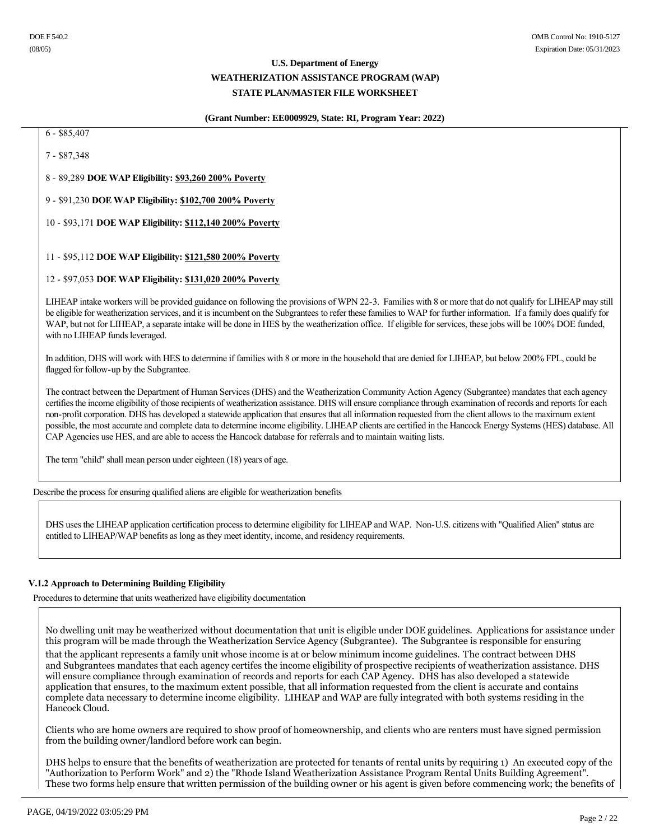### **(Grant Number: EE0009929, State: RI, Program Year: 2022)**

 $6 - $85,407$ 

7 - \$87,348

8 89,289 **DOE WAP Eligibility: \$93,260 200% Poverty**

9 \$91,230 **DOE WAP Eligibility: \$102,700 200% Poverty**

10 \$93,171 **DOE WAP Eligibility: \$112,140 200% Poverty**

11 \$95,112 **DOE WAP Eligibility: \$121,580 200% Poverty**

### 12 \$97,053 **DOE WAP Eligibility: \$131,020 200% Poverty**

LIHEAP intake workers will be provided guidance on following the provisions of WPN 22-3. Families with 8 or more that do not qualify for LIHEAP may still be eligible for weatherization services, and it is incumbent on the Subgrantees to refer these families to WAP for further information. If a family does qualify for WAP, but not for LIHEAP, a separate intake will be done in HES by the weatherization office. If eligible for services, these jobs will be 100% DOE funded, with no LIHEAP funds leveraged.

In addition, DHS will work with HES to determine if families with 8 or more in the household that are denied for LIHEAP, but below 200% FPL, could be flagged for follow-up by the Subgrantee.

The contract between the Department of Human Services (DHS) and the Weatherization Community Action Agency (Subgrantee) mandates that each agency certifies the income eligibility of those recipients of weatherization assistance. DHS will ensure compliance through examination of records and reports for each non-profit corporation. DHS has developed a statewide application that ensures that all information requested from the client allows to the maximum extent possible, the most accurate and complete data to determine income eligibility. LIHEAP clients are certified in the Hancock Energy Systems (HES) database. All CAP Agencies use HES, and are able to access the Hancock database for referrals and to maintain waiting lists.

The term "child" shall mean person under eighteen (18) years of age.

Describe the process for ensuring qualified aliens are eligible for weatherization benefits

DHS uses the LIHEAP application certification process to determine eligibility for LIHEAP and WAP. Non-U.S. citizens with "Qualified Alien" status are entitled to LIHEAP/WAP benefits as long as they meet identity, income, and residency requirements.

## **V.1.2 Approach to Determining Building Eligibility**

Procedures to determine that units weatherized have eligibility documentation

No dwelling unit may be weatherized without documentation that unit is eligible under DOE guidelines. Applications for assistance under this program will be made through the Weatherization Service Agency (Subgrantee). The Subgrantee is responsible for ensuring

that the applicant represents a family unit whose income is at or below minimum income guidelines. The contract between DHS and Subgrantees mandates that each agency certifes the income eligibility of prospective recipients of weatherization assistance. DHS will ensure compliance through examination of records and reports for each CAP Agency. DHS has also developed a statewide application that ensures, to the maximum extent possible, that all information requested from the client is accurate and contains complete data necessary to determine income eligibility. LIHEAP and WAP are fully integrated with both systems residing in the Hancock Cloud.

Clients who are home owners are required to show proof of homeownership, and clients who are renters must have signed permission from the building owner/landlord before work can begin.

DHS helps to ensure that the benefits of weatherization are protected for tenants of rental units by requiring 1) An executed copy of the "Authorization to Perform Work" and 2) the "Rhode Island Weatherization Assistance Program Rental Units Building Agreement". These two forms help ensure that written permission of the building owner or his agent is given before commencing work; the benefits of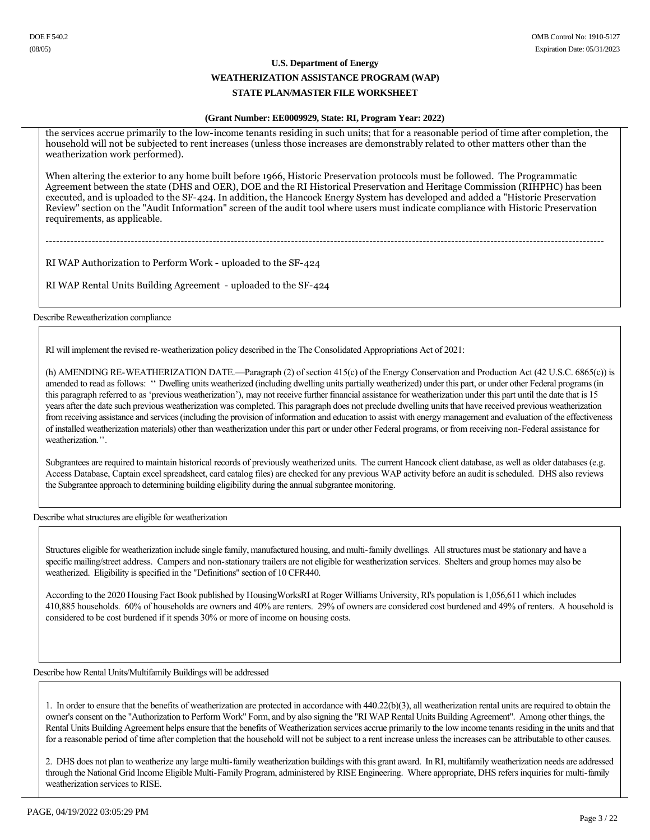### **(Grant Number: EE0009929, State: RI, Program Year: 2022)**

the services accrue primarily to the low-income tenants residing in such units; that for a reasonable period of time after completion, the household will not be subjected to rent increases (unless those increases are demonstrably related to other matters other than the weatherization work performed).

When altering the exterior to any home built before 1966, Historic Preservation protocols must be followed. The Programmatic Agreement between the state (DHS and OER), DOE and the RI Historical Preservation and Heritage Commission (RIHPHC) has been executed, and is uploaded to the SF-424. In addition, the Hancock Energy System has developed and added a "Historic Preservation" Review" section on the "Audit Information" screen of the audit tool where users must indicate compliance with Historic Preservation requirements, as applicable.

RI WAP Authorization to Perform Work - uploaded to the SF-424

RI WAP Rental Units Building Agreement - uploaded to the SF-424

Describe Reweatherization compliance

RI will implement the revised reweatherization policy described in the The Consolidated Appropriations Act of 2021:

(h) AMENDING RE-WEATHERIZATION DATE.—Paragraph  $(2)$  of section 415(c) of the Energy Conservation and Production Act (42 U.S.C. 6865(c)) is amended to read as follows: '' Dwelling units weatherized (including dwelling units partially weatherized) under this part, or under other Federal programs (in this paragraph referred to as 'previous weatherization'), may not receive further financial assistance for weatherization under this part until the date that is 15 years after the date such previous weatherization was completed. This paragraph does not preclude dwelling units that have received previous weatherization from receiving assistance and services (including the provision of information and education to assist with energy management and evaluation of the effectiveness of installed weatherization materials) other than weatherization under this part or under other Federal programs, or from receiving nonFederal assistance for weatherization.''.

Subgrantees are required to maintain historical records of previously weatherized units. The current Hancock client database, as well as older databases (e.g. Access Database, Captain excel spreadsheet, card catalog files) are checked for any previous WAP activity before an audit is scheduled. DHS also reviews the Subgrantee approach to determining building eligibility during the annual subgrantee monitoring.

Describe what structures are eligible for weatherization

Structures eligible for weatherization include single family, manufactured housing, and multi-family dwellings. All structures must be stationary and have a specific mailing/street address. Campers and non-stationary trailers are not eligible for weatherization services. Shelters and group homes may also be weatherized. Eligibility is specified in the "Definitions" section of 10 CFR440.

According to the 2020 Housing Fact Book published by HousingWorksRI at Roger Williams University, RI's population is 1,056,611 which includes 410,885 households. 60% of households are owners and 40% are renters. 29% of owners are considered cost burdened and 49% of renters. A household is considered to be cost burdened if it spends 30% or more of income on housing costs.

Describe how Rental Units/Multifamily Buildings will be addressed

1. In order to ensure that the benefits of weatherization are protected in accordance with 440.22(b)(3), all weatherization rental units are required to obtain the owner's consent on the "Authorization to Perform Work" Form, and by also signing the "RI WAP Rental Units Building Agreement". Among other things, the Rental Units Building Agreement helps ensure that the benefits of Weatherization services accrue primarily to the low income tenants residing in the units and that for a reasonable period of time after completion that the household will not be subject to a rent increase unless the increases can be attributable to other causes.

2. DHS does not plan to weatherize any large multi-family weatherization buildings with this grant award. In RI, multifamily weatherization needs are addressed through the National Grid Income Eligible Multi-Family Program, administered by RISE Engineering. Where appropriate, DHS refers inquiries for multi-family weatherization services to RISE.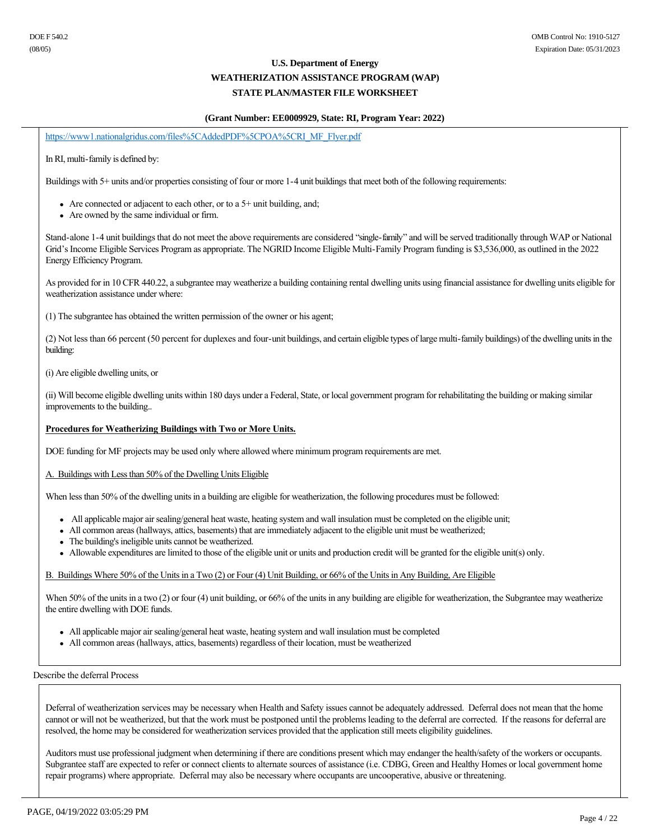### **(Grant Number: EE0009929, State: RI, Program Year: 2022)**

https://www1.nationalgridus.com/files%5CAddedPDF%5CPOA%5CRI\_MF\_Flyer.pdf

In RI, multi-family is defined by:

Buildings with 5+ units and/or properties consisting of four or more 1-4 unit buildings that meet both of the following requirements:

- Are connected or adjacent to each other, or to a  $5+$  unit building, and;
- Are owned by the same individual or firm.

Stand-alone 1-4 unit buildings that do not meet the above requirements are considered "single-family" and will be served traditionally through WAP or National Grid's Income Eligible Services Program as appropriate. The NGRID Income Eligible Multi-Family Program funding is \$3,536,000, as outlined in the 2022 Energy Efficiency Program.

As provided for in 10 CFR 440.22, a subgrantee may weatherize a building containing rental dwelling units using financial assistance for dwelling units eligible for weatherization assistance under where:

(1) The subgrantee has obtained the written permission of the owner or his agent;

(2) Not less than 66 percent (50 percent for duplexes and four-unit buildings, and certain eligible types of large multi-family buildings) of the dwelling units in the building:

(i) Are eligible dwelling units, or

(ii) Will become eligible dwelling units within 180 days under a Federal, State, or local government program for rehabilitating the building or making similar improvements to the building..

## **Procedures for Weatherizing Buildings with Two or More Units.**

DOE funding for MF projects may be used only where allowed where minimum program requirements are met.

A. Buildings with Less than 50% of the Dwelling Units Eligible

When less than 50% of the dwelling units in a building are eligible for weatherization, the following procedures must be followed:

- All applicable major air sealing/general heat waste, heating system and wall insulation must be completed on the eligible unit;
- All common areas (hallways, attics, basements) that are immediately adjacent to the eligible unit must be weatherized;
- The building's ineligible units cannot be weatherized.
- <sup>l</sup> Allowable expenditures are limited to those of the eligible unit or units and production credit will be granted for the eligible unit(s) only.

### B. Buildings Where 50% of the Units in a Two (2) or Four (4) Unit Building, or 66% of the Units in Any Building, Are Eligible

When 50% of the units in a two (2) or four (4) unit building, or 66% of the units in any building are eligible for weatherization, the Subgrantee may weatherize the entire dwelling with DOE funds.

- All applicable major air sealing/general heat waste, heating system and wall insulation must be completed
- All common areas (hallways, attics, basements) regardless of their location, must be weatherized

Describe the deferral Process

Deferral of weatherization services may be necessary when Health and Safety issues cannot be adequately addressed. Deferral does not mean that the home cannot or will not be weatherized, but that the work must be postponed until the problems leading to the deferral are corrected. If the reasons for deferral are resolved, the home may be considered for weatherization services provided that the application still meets eligibility guidelines.

Auditors must use professional judgment when determining if there are conditions present which may endanger the health/safety of the workers or occupants. Subgrantee staff are expected to refer or connect clients to alternate sources of assistance (i.e. CDBG, Green and Healthy Homes or local government home repair programs) where appropriate. Deferral may also be necessary where occupants are uncooperative, abusive or threatening.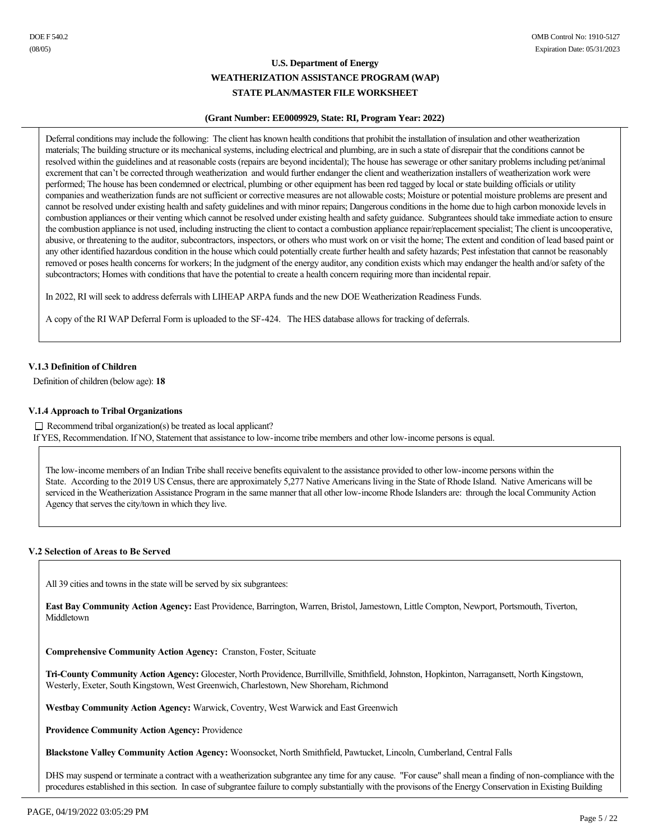### **(Grant Number: EE0009929, State: RI, Program Year: 2022)**

Deferral conditions may include the following: The client has known health conditions that prohibit the installation of insulation and other weatherization materials; The building structure or its mechanical systems, including electrical and plumbing, are in such a state of disrepair that the conditions cannot be resolved within the guidelines and at reasonable costs (repairs are beyond incidental); The house has sewerage or other sanitary problems including pet/animal excrement that can't be corrected through weatherization and would further endanger the client and weatherization installers of weatherization work were performed; The house has been condemned or electrical, plumbing or other equipment has been red tagged by local or state building officials or utility companies and weatherization funds are not sufficient or corrective measures are not allowable costs; Moisture or potential moisture problems are present and cannot be resolved under existing health and safety guidelines and with minor repairs; Dangerous conditions in the home due to high carbon monoxide levels in combustion appliances or their venting which cannot be resolved under existing health and safety guidance. Subgrantees should take immediate action to ensure the combustion appliance is not used, including instructing the client to contact a combustion appliance repair/replacement specialist; The client is uncooperative, abusive, or threatening to the auditor, subcontractors, inspectors, or others who must work on or visit the home; The extent and condition of lead based paint or any other identified hazardous condition in the house which could potentially create further health and safety hazards; Pest infestation that cannot be reasonably removed or poses health concerns for workers; In the judgment of the energy auditor, any condition exists which may endanger the health and/or safety of the subcontractors; Homes with conditions that have the potential to create a health concern requiring more than incidental repair.

In 2022, RI will seek to address deferrals with LIHEAP ARPA funds and the new DOE Weatherization Readiness Funds.

A copy of the RI WAP Deferral Form is uploaded to the SF-424. The HES database allows for tracking of deferrals.

## **V.1.3 Definition of Children**

Definition of children (below age): **18**

### **V.1.4 Approach to Tribal Organizations**

 $\Box$  Recommend tribal organization(s) be treated as local applicant? If YES, Recommendation. If NO, Statement that assistance to low-income tribe members and other low-income persons is equal.

The low-income members of an Indian Tribe shall receive benefits equivalent to the assistance provided to other low-income persons within the State. According to the 2019 US Census, there are approximately 5,277 Native Americans living in the State of Rhode Island. Native Americans will be serviced in the Weatherization Assistance Program in the same manner that all other low-income Rhode Islanders are: through the local Community Action Agency that serves the city/town in which they live.

## **V.2 Selection of Areas to Be Served**

All 39 cities and towns in the state will be served by six subgrantees:

**East Bay Community Action Agency:** East Providence, Barrington, Warren, Bristol, Jamestown, Little Compton, Newport, Portsmouth, Tiverton, Middletown

**Comprehensive Community Action Agency: Cranston, Foster, Scituate** 

**TriCounty Community Action Agency:** Glocester, North Providence, Burrillville, Smithfield, Johnston, Hopkinton, Narragansett, North Kingstown, Westerly, Exeter, South Kingstown, West Greenwich, Charlestown, New Shoreham, Richmond

**Westbay Community Action Agency:** Warwick, Coventry, West Warwick and East Greenwich

**Providence Community Action Agency:** Providence

**Blackstone Valley Community Action Agency:** Woonsocket, North Smithfield, Pawtucket, Lincoln, Cumberland, Central Falls

DHS may suspend or terminate a contract with a weatherization subgrantee any time for any cause. "For cause" shall mean a finding of non-compliance with the procedures established in this section. In case of subgrantee failure to comply substantially with the provisons of the Energy Conservation in Existing Building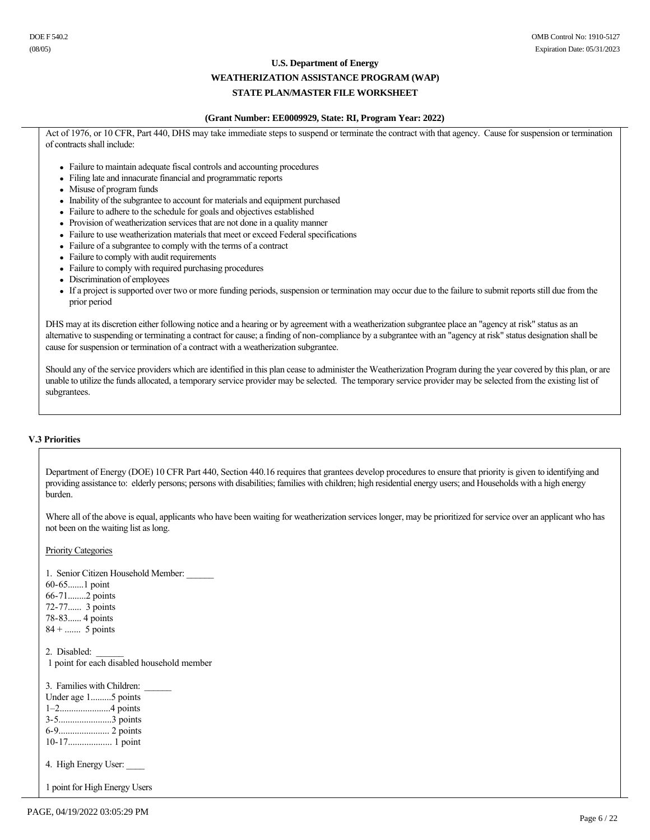#### **WEATHERIZATION ASSISTANCE PROGRAM (WAP)**

## **STATE PLAN/MASTER FILE WORKSHEET**

### **(Grant Number: EE0009929, State: RI, Program Year: 2022)**

Act of 1976, or 10 CFR, Part 440, DHS may take immediate steps to suspend or terminate the contract with that agency. Cause for suspension or termination of contracts shall include:

- Failure to maintain adequate fiscal controls and accounting procedures
- Filing late and innacurate financial and programmatic reports
- Misuse of program funds
- Inability of the subgrantee to account for materials and equipment purchased
- Failure to adhere to the schedule for goals and objectives established
- Provision of weatherization services that are not done in a quality manner
- Failure to use weatherization materials that meet or exceed Federal specifications
- Failure of a subgrantee to comply with the terms of a contract
- Failure to comply with audit requirements
- Failure to comply with required purchasing procedures
- Discrimination of employees
- <sup>l</sup> If a project is supported over two or more funding periods, suspension or termination may occur due to the failure to submit reports still due from the prior period

DHS may at its discretion either following notice and a hearing or by agreement with a weatherization subgrantee place an "agency at risk" status as an alternative to suspending or terminating a contract for cause; a finding of non-compliance by a subgrantee with an "agency at risk" status designation shall be cause for suspension or termination of a contract with a weatherization subgrantee.

Should any of the service providers which are identified in this plan cease to administer the Weatherization Program during the year covered by this plan, or are unable to utilize the funds allocated, a temporary service provider may be selected. The temporary service provider may be selected from the existing list of subgrantees.

### **V.3 Priorities**

Department of Energy (DOE) 10 CFR Part 440, Section 440.16 requires that grantees develop procedures to ensure that priority is given to identifying and providing assistance to: elderly persons; persons with disabilities; families with children; high residential energy users; and Households with a high energy burden.

Where all of the above is equal, applicants who have been waiting for weatherization services longer, may be prioritized for service over an applicant who has not been on the waiting list as long.

Priority Categories

1. Senior Citizen Household Member: 60-65.......1 point 6671........2 points 72-77...... 3 points 78-83...... 4 points  $84 + \dots$  5 points 2. Disabled: 1 point for each disabled household member 3. Families with Children: Under age 1.........5 points 1–2......................4 points 35.......................3 points 69...................... 2 points 1017................... 1 point 4. High Energy User:

1 point for High Energy Users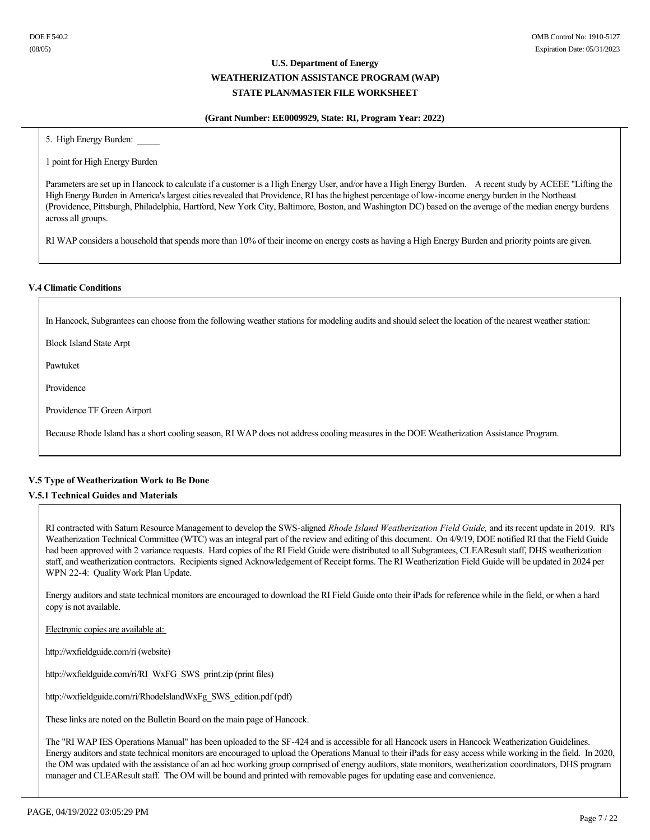### **(Grant Number: EE0009929, State: RI, Program Year: 2022)**

5. High Energy Burden:

1 point for High Energy Burden

Parameters are set up in Hancock to calculate if a customer is a High Energy User, and/or have a High Energy Burden. A recent study by ACEEE "Lifting the High Energy Burden in America's largest cities revealed that Providence, RI has the highest percentage of low-income energy burden in the Northeast (Providence, Pittsburgh, Philadelphia, Hartford, New York City, Baltimore, Boston, and Washington DC) based on the average of the median energy burdens across all groups.

RI WAP considers a household that spends more than 10% of their income on energy costs as having a High Energy Burden and priority points are given.

### **V.4 Climatic Conditions**

In Hancock, Subgrantees can choose from the following weather stations for modeling audits and should select the location of the nearest weather station:

Block Island State Arpt

Pawtuket

Providence

Providence TF Green Airport

Because Rhode Island has a short cooling season, RI WAP does not address cooling measures in the DOE Weatherization Assistance Program.

## **V.5 Type of Weatherization Work to Be Done**

## **V.5.1 Technical Guides and Materials**

RI contracted with Saturn Resource Management to develop the SWS-aligned *Rhode Island Weatherization Field Guide*, and its recent update in 2019. RI's Weatherization Technical Committee (WTC) was an integral part of the review and editing of this document. On 4/9/19, DOE notified RI that the Field Guide had been approved with 2 variance requests. Hard copies of the RI Field Guide were distributed to all Subgrantees, CLEAResult staff, DHS weatherization staff, and weatherization contractors. Recipients signed Acknowledgement of Receipt forms. The RI Weatherization Field Guide will be updated in 2024 per WPN 22-4: Quality Work Plan Update.

Energy auditors and state technical monitors are encouraged to download the RI Field Guide onto their iPads for reference while in the field, or when a hard copy is not available.

Electronic copies are available at:

http://wxfieldguide.com/ri (website)

http://wxfieldguide.com/ri/RI\_WxFG\_SWS\_print.zip (print files)

http://wxfieldguide.com/ri/RhodeIslandWxFg\_SWS\_edition.pdf (pdf)

These links are noted on the Bulletin Board on the main page of Hancock.

The "RI WAP IES Operations Manual" has been uploaded to the SF-424 and is accessible for all Hancock users in Hancock Weatherization Guidelines. Energy auditors and state technical monitors are encouraged to upload the Operations Manual to their iPads for easy access while working in the field. In 2020, the OM was updated with the assistance of an ad hoc working group comprised of energy auditors, state monitors, weatherization coordinators, DHS program manager and CLEAResult staff. The OM will be bound and printed with removable pages for updating ease and convenience.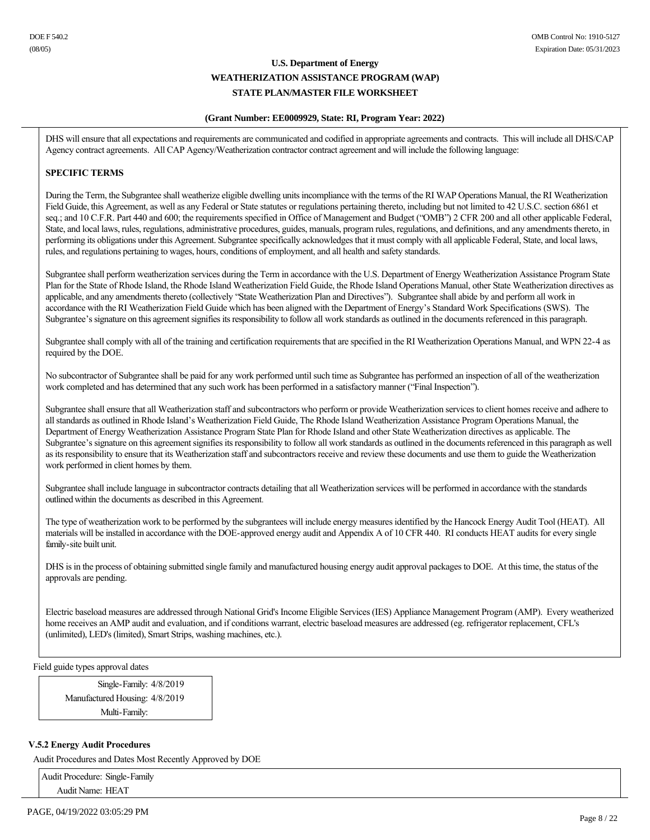### **(Grant Number: EE0009929, State: RI, Program Year: 2022)**

DHS will ensure that all expectations and requirements are communicated and codified in appropriate agreements and contracts. This will include all DHS/CAP Agency contract agreements. All CAP Agency/Weatherization contractor contract agreement and will include the following language:

## **SPECIFIC TERMS**

During the Term, the Subgrantee shall weatherize eligible dwelling units incompliance with the terms of the RI WAP Operations Manual, the RI Weatherization Field Guide, this Agreement, as well as any Federal or State statutes or regulations pertaining thereto, including but not limited to 42 U.S.C. section 6861 et seq.; and 10 C.F.R. Part 440 and 600; the requirements specified in Office of Management and Budget ("OMB") 2 CFR 200 and all other applicable Federal, State, and local laws, rules, regulations, administrative procedures, guides, manuals, program rules, regulations, and definitions, and any amendments thereto, in performing its obligations under this Agreement. Subgrantee specifically acknowledges that it must comply with all applicable Federal, State, and local laws, rules, and regulations pertaining to wages, hours, conditions of employment, and all health and safety standards.

Subgrantee shall perform weatherization services during the Term in accordance with the U.S. Department of Energy Weatherization Assistance Program State Plan for the State of Rhode Island, the Rhode Island Weatherization Field Guide, the Rhode Island Operations Manual, other State Weatherization directives as applicable, and any amendments thereto (collectively "State Weatherization Plan and Directives"). Subgrantee shall abide by and perform all work in accordance with the RI Weatherization Field Guide which has been aligned with the Department of Energy's Standard Work Specifications (SWS). The Subgrantee's signature on this agreement signifies its responsibility to follow all work standards as outlined in the documents referenced in this paragraph.

Subgrantee shall comply with all of the training and certification requirements that are specified in the RI Weatherization Operations Manual, and WPN 224 as required by the DOE.

No subcontractor of Subgrantee shall be paid for any work performed until such time as Subgrantee has performed an inspection of all of the weatherization work completed and has determined that any such work has been performed in a satisfactory manner ("Final Inspection").

Subgrantee shall ensure that all Weatherization staff and subcontractors who perform or provide Weatherization services to client homes receive and adhere to all standards as outlined in Rhode Island's Weatherization Field Guide, The Rhode Island Weatherization Assistance Program Operations Manual, the Department of Energy Weatherization Assistance Program State Plan for Rhode Island and other State Weatherization directives as applicable. The Subgrantee's signature on this agreement signifies its responsibility to follow all work standards as outlined in the documents referenced in this paragraph as well as its responsibility to ensure that its Weatherization staff and subcontractors receive and review these documents and use them to guide the Weatherization work performed in client homes by them.

Subgrantee shall include language in subcontractor contracts detailing that all Weatherization services will be performed in accordance with the standards outlined within the documents as described in this Agreement*.* 

The type of weatherization work to be performed by the subgrantees will include energy measures identified by the Hancock Energy Audit Tool (HEAT). All materials will be installed in accordance with the DOE-approved energy audit and Appendix A of 10 CFR 440. RI conducts HEAT audits for every single family-site built unit.

DHS is in the process of obtaining submitted single family and manufactured housing energy audit approval packages to DOE. At this time, the status of the approvals are pending.

Electric baseload measures are addressed through National Grid's Income Eligible Services (IES) Appliance Management Program (AMP). Every weatherized home receives an AMP audit and evaluation, and if conditions warrant, electric baseload measures are addressed (eg. refrigerator replacement, CFL's (unlimited), LED's (limited), Smart Strips, washing machines, etc.).

Field guide types approval dates

Single-Family:  $4/8/2019$ Manufactured Housing: 4/8/2019 Multi-Family:

## **V.5.2 Energy Audit Procedures**

Audit Procedures and Dates Most Recently Approved by DOE

Audit Procedure: Single-Family Audit Name: HEAT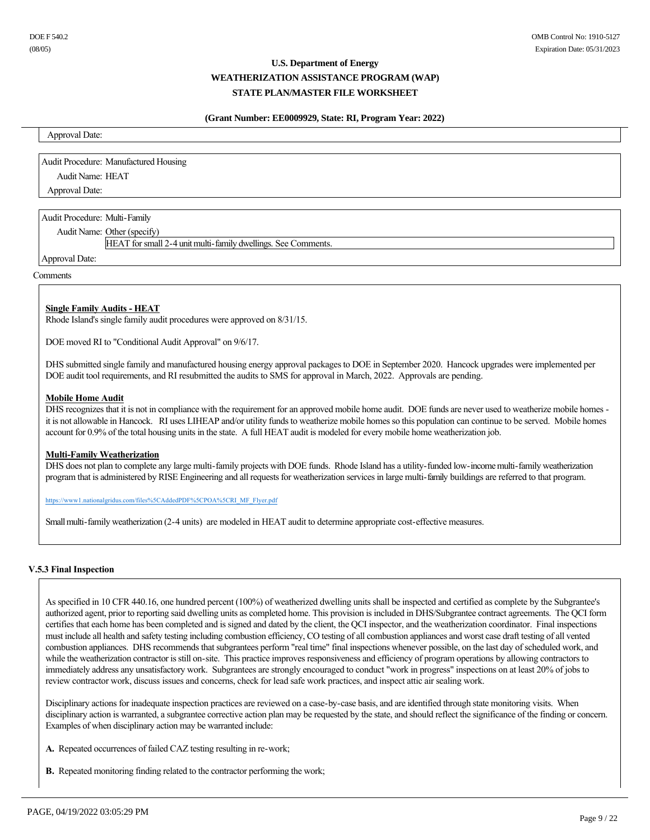### **(Grant Number: EE0009929, State: RI, Program Year: 2022)**

Approval Date:

Audit Procedure: Manufactured Housing Audit Name: HEAT Approval Date:

Audit Procedure: Multi-Family

Audit Name: Other (specify)

HEAT for small 2-4 unit multi-family dwellings. See Comments.

Approval Date:

## **Comments**

## **Single Family Audits - HEAT**

Rhode Island's single family audit procedures were approved on 8/31/15.

DOE moved RI to "Conditional Audit Approval" on 9/6/17.

DHS submitted single family and manufactured housing energy approval packages to DOE in September 2020. Hancock upgrades were implemented per DOE audit tool requirements, and RI resubmitted the audits to SMS for approval in March, 2022. Approvals are pending.

### **Mobile Home Audit**

DHS recognizes that it is not in compliance with the requirement for an approved mobile home audit. DOE funds are never used to weatherize mobile homes it is not allowable in Hancock. RI uses LIHEAP and/or utility funds to weatherize mobile homes so this population can continue to be served. Mobile homes account for 0.9% of the total housing units in the state. A full HEAT audit is modeled for every mobile home weatherization job.

### **Multi-Family Weatherization**

DHS does not plan to complete any large multi-family projects with DOE funds. Rhode Island has a utility-funded low-income multi-family weatherization program that is administered by RISE Engineering and all requests for weatherization services in large multi-family buildings are referred to that program.

https://www1.nationalgridus.com/files%5CAddedPDF%5CPOA%5CRI\_MF\_Flyer.pdf

Small multi-family weatherization (2-4 units) are modeled in HEAT audit to determine appropriate cost-effective measures.

### **V.5.3 Final Inspection**

As specified in 10 CFR 440.16, one hundred percent (100%) of weatherized dwelling units shall be inspected and certified as complete by the Subgrantee's authorized agent, prior to reporting said dwelling units as completed home. This provision is included in DHS/Subgrantee contract agreements. The QCI form certifies that each home has been completed and is signed and dated by the client, the QCI inspector, and the weatherization coordinator. Final inspections must include all health and safety testing including combustion efficiency, CO testing of all combustion appliances and worst case draft testing of all vented combustion appliances. DHS recommends that subgrantees perform "real time" final inspections whenever possible, on the last day of scheduled work, and while the weatherization contractor is still on-site. This practice improves responsiveness and efficiency of program operations by allowing contractors to immediately address any unsatisfactory work. Subgrantees are strongly encouraged to conduct "work in progress" inspections on at least 20% of jobs to review contractor work, discuss issues and concerns, check for lead safe work practices, and inspect attic air sealing work.

Disciplinary actions for inadequate inspection practices are reviewed on a case-by-case basis, and are identified through state monitoring visits. When disciplinary action is warranted, a subgrantee corrective action plan may be requested by the state, and should reflect the significance of the finding or concern. Examples of when disciplinary action may be warranted include:

- A. Repeated occurrences of failed CAZ testing resulting in re-work;
- **B.** Repeated monitoring finding related to the contractor performing the work;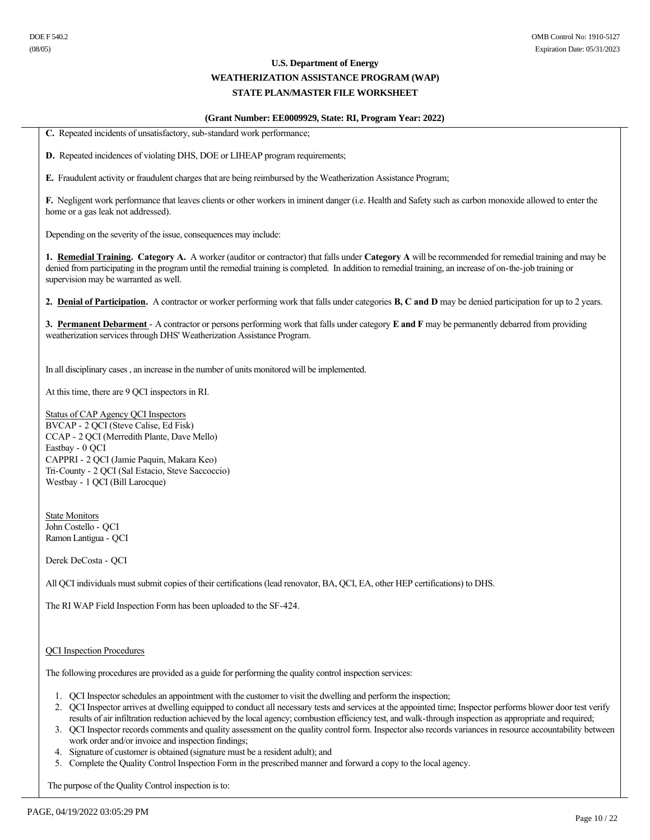# **WEATHERIZATION ASSISTANCE PROGRAM (WAP)**

## **STATE PLAN/MASTER FILE WORKSHEET**

### **(Grant Number: EE0009929, State: RI, Program Year: 2022)**

C. Repeated incidents of unsatisfactory, sub-standard work performance;

**D.** Repeated incidences of violating DHS, DOE or LIHEAP program requirements;

**E.** Fraudulent activity or fraudulent charges that are being reimbursed by the Weatherization Assistance Program;

**F.** Negligent work performance that leaves clients or other workers in iminent danger (i.e. Health and Safety such as carbon monoxide allowed to enter the home or a gas leak not addressed).

Depending on the severity of the issue, consequences may include:

**1. Remedial Training. Category A.** A worker (auditor or contractor) that falls under **Category A** will be recommended for remedial training and may be denied from participating in the program until the remedial training is completed. In addition to remedial training, an increase of on-the-job training or supervision may be warranted as well.

**2. Denial of Participation.**  A contractor or worker performing work that falls under categories **B, C and D** may be denied participation for up to 2 years.

**3. Permanent Debarment** - A contractor or persons performing work that falls under category **E** and **F** may be permanently debarred from providing weatherization services through DHS' Weatherization Assistance Program.

In all disciplinary cases , an increase in the number of units monitored will be implemented.

At this time, there are 9 QCI inspectors in RI.

Status of CAP Agency QCI Inspectors BVCAP - 2 QCI (Steve Calise, Ed Fisk) CCAP 2 QCI (Merredith Plante, Dave Mello) Eastbay - 0 OCI CAPPRI 2 QCI (Jamie Paquin, Makara Keo) Tri-County - 2 QCI (Sal Estacio, Steve Saccoccio) Westbay - 1 QCI (Bill Larocque)

State Monitors John Costello - OCI Ramon Lantigua - QCI

Derek DeCosta - QCI

All QCI individuals must submit copies of their certifications (lead renovator, BA, QCI, EA, other HEP certifications) to DHS.

The RI WAP Field Inspection Form has been uploaded to the SF-424.

QCI Inspection Procedures

The following procedures are provided as a guide for performing the quality control inspection services:

- 1. QCI Inspector schedules an appointment with the customer to visit the dwelling and perform the inspection;
- 2. QCI Inspector arrives at dwelling equipped to conduct all necessary tests and services at the appointed time; Inspector performs blower door test verify results of air infiltration reduction achieved by the local agency; combustion efficiency test, and walk-through inspection as appropriate and required;
- 3. QCI Inspector records comments and quality assessment on the quality control form. Inspector also records variances in resource accountability between work order and/or invoice and inspection findings;
- 4. Signature of customer is obtained (signature must be a resident adult); and
- 5. Complete the Quality Control Inspection Form in the prescribed manner and forward a copy to the local agency.

The purpose of the Quality Control inspection is to: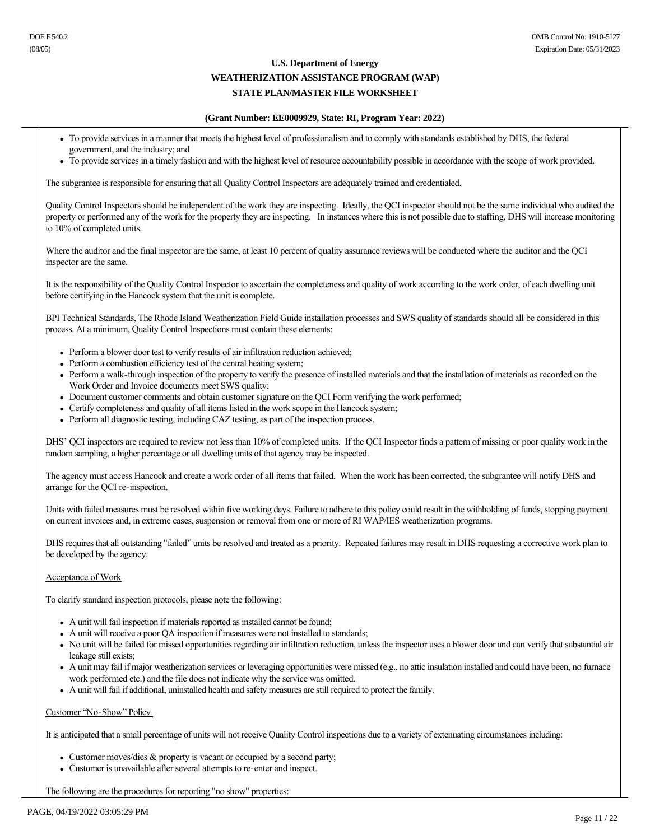### **WEATHERIZATION ASSISTANCE PROGRAM (WAP)**

## **STATE PLAN/MASTER FILE WORKSHEET**

#### **(Grant Number: EE0009929, State: RI, Program Year: 2022)**

- <sup>l</sup> To provide services in a manner that meets the highest level of professionalism and to comply with standards established by DHS, the federal government, and the industry; and
- <sup>l</sup> To provide services in a timely fashion and with the highest level of resource accountability possible in accordance with the scope of work provided.

The subgrantee is responsible for ensuring that all Quality Control Inspectors are adequately trained and credentialed.

Quality Control Inspectors should be independent of the work they are inspecting. Ideally, the QCI inspector should not be the same individual who audited the property or performed any of the work for the property they are inspecting. In instances where this is not possible due to staffing, DHS will increase monitoring to 10% of completed units.

Where the auditor and the final inspector are the same, at least 10 percent of quality assurance reviews will be conducted where the auditor and the QCI inspector are the same.

It is the responsibility of the Quality Control Inspector to ascertain the completeness and quality of work according to the work order, of each dwelling unit before certifying in the Hancock system that the unit is complete.

BPI Technical Standards, The Rhode Island Weatherization Field Guide installation processes and SWS quality of standards should all be considered in this process. At a minimum, Quality Control Inspections must contain these elements:

- Perform a blower door test to verify results of air infiltration reduction achieved;
- Perform a combustion efficiency test of the central heating system;
- Perform a walk-through inspection of the property to verify the presence of installed materials and that the installation of materials as recorded on the Work Order and Invoice documents meet SWS quality;
- Document customer comments and obtain customer signature on the QCI Form verifying the work performed;
- Certify completeness and quality of all items listed in the work scope in the Hancock system;
- Perform all diagnostic testing, including CAZ testing, as part of the inspection process.

DHS' QCI inspectors are required to review not less than 10% of completed units. If the QCI Inspector finds a pattern of missing or poor quality work in the random sampling, a higher percentage or all dwelling units of that agency may be inspected.

The agency must access Hancock and create a work order of all items that failed. When the work has been corrected, the subgrantee will notify DHS and arrange for the QCI re-inspection.

Units with failed measures must be resolved within five working days. Failure to adhere to this policy could result in the withholding of funds, stopping payment on current invoices and, in extreme cases, suspension or removal from one or more of RI WAP/IES weatherization programs.

DHS requires that all outstanding "failed" units be resolved and treated as a priority. Repeated failures may result in DHS requesting a corrective work plan to be developed by the agency.

### Acceptance of Work

To clarify standard inspection protocols, please note the following:

- A unit will fail inspection if materials reported as installed cannot be found;
- A unit will receive a poor QA inspection if measures were not installed to standards;
- No unit will be failed for missed opportunities regarding air infiltration reduction, unless the inspector uses a blower door and can verify that substantial air leakage still exists;
- <sup>l</sup> A unit may fail if major weatherization services or leveraging opportunities were missed (e.g., no attic insulation installed and could have been, no furnace work performed etc.) and the file does not indicate why the service was omitted.
- <sup>l</sup> A unit will fail if additional, uninstalled health and safety measures are still required to protect the family.

### Customer 'No-Show" Policy

It is anticipated that a small percentage of units will not receive Quality Control inspections due to a variety of extenuating circumstances including:

- Customer moves/dies  $&$  property is vacant or occupied by a second party;
- Customer is unavailable after several attempts to re-enter and inspect.

The following are the procedures for reporting "no show" properties: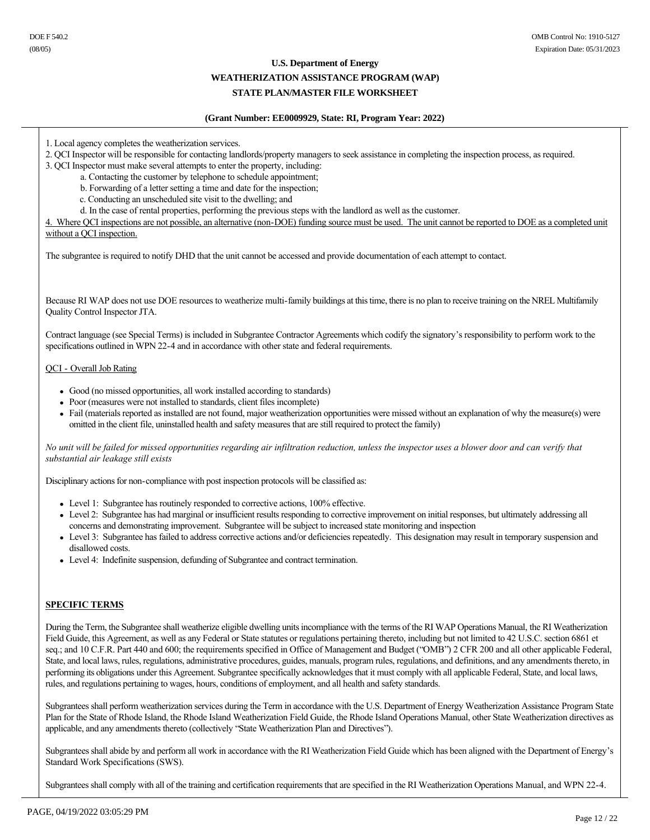### **WEATHERIZATION ASSISTANCE PROGRAM (WAP)**

### **STATE PLAN/MASTER FILE WORKSHEET**

#### **(Grant Number: EE0009929, State: RI, Program Year: 2022)**

- 1. Local agency completes the weatherization services.
- 2. QCI Inspector will be responsible for contacting landlords/property managers to seek assistance in completing the inspection process, as required.
- 3. QCI Inspector must make several attempts to enter the property, including:
	- a. Contacting the customer by telephone to schedule appointment;
	- b. Forwarding of a letter setting a time and date for the inspection;
	- c. Conducting an unscheduled site visit to the dwelling; and
	- d. In the case of rental properties, performing the previous steps with the landlord as well as the customer.

4. Where QCI inspections are not possible, an alternative (non-DOE) funding source must be used. The unit cannot be reported to DOE as a completed unit without a QCI inspection.

The subgrantee is required to notify DHD that the unit cannot be accessed and provide documentation of each attempt to contact.

Because RI WAP does not use DOE resources to weatherize multi-family buildings at this time, there is no plan to receive training on the NREL Multifamily Quality Control Inspector JTA.

Contract language (see Special Terms) is included in Subgrantee Contractor Agreements which codify the signatory's responsibility to perform work to the specifications outlined in WPN 22-4 and in accordance with other state and federal requirements.

### QCI - Overall Job Rating

- Good (no missed opportunities, all work installed according to standards)
- Poor (measures were not installed to standards, client files incomplete)
- <sup>l</sup> Fail (materials reported as installed are not found, major weatherization opportunities were missed without an explanation of why the measure(s) were omitted in the client file, uninstalled health and safety measures that are still required to protect the family)

*No unit will be failed for missed opportunities regarding air infiltration reduction, unless the inspector uses a blower door and can verify that substantial air leakage still exists*

Disciplinary actions for non-compliance with post inspection protocols will be classified as:

- Level 1: Subgrantee has routinely responded to corrective actions, 100% effective.
- Level 2: Subgrantee has had marginal or insufficient results responding to corrective improvement on initial responses, but ultimately addressing all concerns and demonstrating improvement. Subgrantee will be subject to increased state monitoring and inspection
- Level 3: Subgrantee has failed to address corrective actions and/or deficiencies repeatedly. This designation may result in temporary suspension and disallowed costs.
- Level 4: Indefinite suspension, defunding of Subgrantee and contract termination.

### **SPECIFIC TERMS**

During the Term, the Subgrantee shall weatherize eligible dwelling units incompliance with the terms of the RI WAP Operations Manual, the RI Weatherization Field Guide, this Agreement, as well as any Federal or State statutes or regulations pertaining thereto, including but not limited to 42 U.S.C. section 6861 et seq.; and 10 C.F.R. Part 440 and 600; the requirements specified in Office of Management and Budget ("OMB") 2 CFR 200 and all other applicable Federal, State, and local laws, rules, regulations, administrative procedures, guides, manuals, program rules, regulations, and definitions, and any amendments thereto, in performing its obligations under this Agreement. Subgrantee specifically acknowledges that it must comply with all applicable Federal, State, and local laws, rules, and regulations pertaining to wages, hours, conditions of employment, and all health and safety standards.

Subgrantees shall perform weatherization services during the Term in accordance with the U.S. Department of Energy Weatherization Assistance Program State Plan for the State of Rhode Island, the Rhode Island Weatherization Field Guide, the Rhode Island Operations Manual, other State Weatherization directives as applicable, and any amendments thereto (collectively "State Weatherization Plan and Directives").

Subgrantees shall abide by and perform all work in accordance with the RI Weatherization Field Guide which has been aligned with the Department of Energy's Standard Work Specifications (SWS).

Subgrantees shall comply with all of the training and certification requirements that are specified in the RI Weatherization Operations Manual, and WPN 22-4.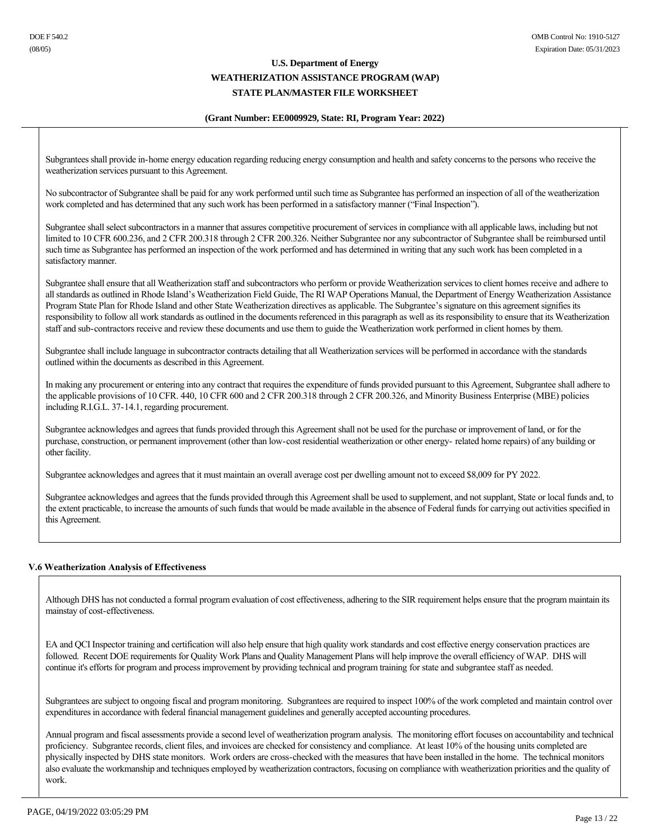### **(Grant Number: EE0009929, State: RI, Program Year: 2022)**

Subgrantees shall provide in-home energy education regarding reducing energy consumption and health and safety concerns to the persons who receive the weatherization services pursuant to this Agreement.

No subcontractor of Subgrantee shall be paid for any work performed until such time as Subgrantee has performed an inspection of all of the weatherization work completed and has determined that any such work has been performed in a satisfactory manner ("Final Inspection").

Subgrantee shall select subcontractors in a manner that assures competitive procurement of services in compliance with all applicable laws, including but not limited to 10 CFR 600.236, and 2 CFR 200.318 through 2 CFR 200.326. Neither Subgrantee nor any subcontractor of Subgrantee shall be reimbursed until such time as Subgrantee has performed an inspection of the work performed and has determined in writing that any such work has been completed in a satisfactory manner.

Subgrantee shall ensure that all Weatherization staff and subcontractors who perform or provide Weatherization services to client homes receive and adhere to all standards as outlined in Rhode Island's Weatherization Field Guide, The RI WAP Operations Manual, the Department of Energy Weatherization Assistance Program State Plan for Rhode Island and other State Weatherization directives as applicable. The Subgrantee's signature on this agreement signifies its responsibility to follow all work standards as outlined in the documents referenced in this paragraph as well as its responsibility to ensure that its Weatherization staff and sub-contractors receive and review these documents and use them to guide the Weatherization work performed in client homes by them.

Subgrantee shall include language in subcontractor contracts detailing that all Weatherization services will be performed in accordance with the standards outlined within the documents as described in this Agreement.

In making any procurement or entering into any contract that requires the expenditure of funds provided pursuant to this Agreement, Subgrantee shall adhere to the applicable provisions of 10 CFR. 440, 10 CFR 600 and 2 CFR 200.318 through 2 CFR 200.326, and Minority Business Enterprise (MBE) policies including R.I.G.L. 37-14.1, regarding procurement.

Subgrantee acknowledges and agrees that funds provided through this Agreement shall not be used for the purchase or improvement of land, or for the purchase, construction, or permanent improvement (other than low-cost residential weatherization or other energy-related home repairs) of any building or other facility.

Subgrantee acknowledges and agrees that it must maintain an overall average cost per dwelling amount not to exceed \$8,009 for PY 2022.

Subgrantee acknowledges and agrees that the funds provided through this Agreement shall be used to supplement, and not supplant, State or local funds and, to the extent practicable, to increase the amounts of such funds that would be made available in the absence of Federal funds for carrying out activities specified in this Agreement.

## **V.6 Weatherization Analysis of Effectiveness**

Although DHS has not conducted a formal program evaluation of cost effectiveness, adhering to the SIR requirement helps ensure that the program maintain its mainstay of cost-effectiveness.

EA and QCI Inspector training and certification will also help ensure that high quality work standards and cost effective energy conservation practices are followed. Recent DOE requirements for Quality Work Plans and Quality Management Plans will help improve the overall efficiency of WAP. DHS will continue it's efforts for program and process improvement by providing technical and program training for state and subgrantee staff as needed.

Subgrantees are subject to ongoing fiscal and program monitoring. Subgrantees are required to inspect 100% of the work completed and maintain control over expenditures in accordance with federal financial management guidelines and generally accepted accounting procedures.

Annual program and fiscal assessments provide a second level of weatherization program analysis. The monitoring effort focuses on accountability and technical proficiency. Subgrantee records, client files, and invoices are checked for consistency and compliance. At least 10% of the housing units completed are physically inspected by DHS state monitors. Work orders are cross-checked with the measures that have been installed in the home. The technical monitors also evaluate the workmanship and techniques employed by weatherization contractors, focusing on compliance with weatherization priorities and the quality of work.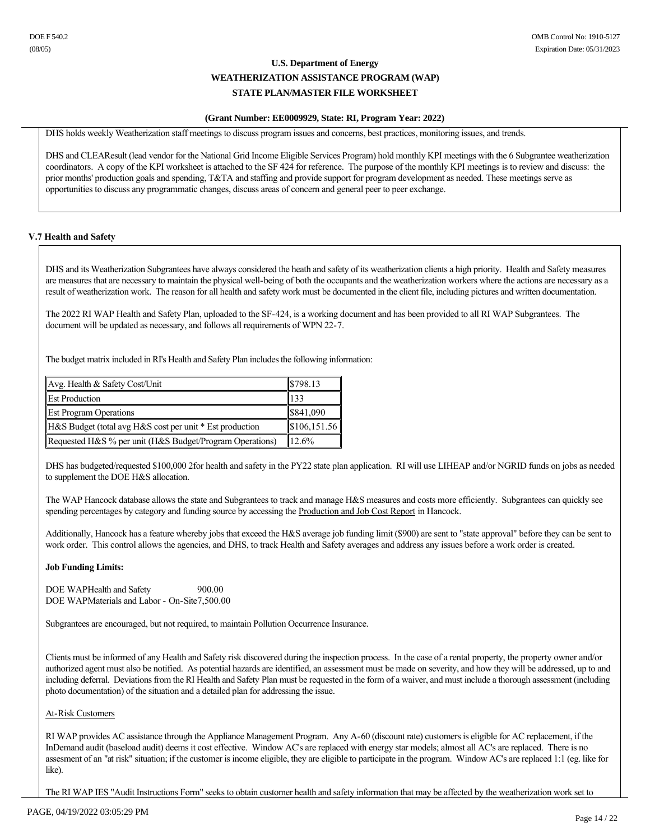### **(Grant Number: EE0009929, State: RI, Program Year: 2022)**

DHS holds weekly Weatherization staff meetings to discuss program issues and concerns, best practices, monitoring issues, and trends.

DHS and CLEAResult (lead vendor for the National Grid Income Eligible Services Program) hold monthly KPI meetings with the 6 Subgrantee weatherization coordinators. A copy of the KPI worksheet is attached to the SF 424 for reference. The purpose of the monthly KPI meetings is to review and discuss: the prior months' production goals and spending, T&TA and staffing and provide support for program development as needed. These meetings serve as opportunities to discuss any programmatic changes, discuss areas of concern and general peer to peer exchange.

### **V.7 Health and Safety**

DHS and its Weatherization Subgrantees have always considered the heath and safety of its weatherization clients a high priority. Health and Safety measures are measures that are necessary to maintain the physical well-being of both the occupants and the weatherization workers where the actions are necessary as a result of weatherization work. The reason for all health and safety work must be documented in the client file, including pictures and written documentation.

The 2022 RI WAP Health and Safety Plan, uploaded to the SF-424, is a working document and has been provided to all RI WAP Subgrantees. The document will be updated as necessary, and follows all requirements of WPN 22-7.

The budget matrix included in RI's Health and Safety Plan includes the following information:

| Avg. Health & Safety Cost/Unit                           | \$798.13     |
|----------------------------------------------------------|--------------|
| <b>Est Production</b>                                    | 133          |
| <b>Est Program Operations</b>                            | \$841,090    |
| H&S Budget (total avg H&S cost per unit * Est production | \$106,151.56 |
| Requested H&S % per unit (H&S Budget/Program Operations) | 12.6%        |

DHS has budgeted/requested \$100,000 2for health and safety in the PY22 state plan application. RI will use LIHEAP and/or NGRID funds on jobs as needed to supplement the DOE H&S allocation.

The WAP Hancock database allows the state and Subgrantees to track and manage H&S measures and costs more efficiently. Subgrantees can quickly see spending percentages by category and funding source by accessing the Production and Job Cost Report in Hancock.

Additionally, Hancock has a feature whereby jobs that exceed the H&S average job funding limit (\$900) are sent to "state approval" before they can be sent to work order. This control allows the agencies, and DHS, to track Health and Safety averages and address any issues before a work order is created.

### **Job Funding Limits:**

DOE WAPHealth and Safety 900.00 DOE WAPMaterials and Labor - On-Site7,500.00

Subgrantees are encouraged, but not required, to maintain Pollution Occurrence Insurance.

Clients must be informed of any Health and Safety risk discovered during the inspection process. In the case of a rental property, the property owner and/or authorized agent must also be notified. As potential hazards are identified, an assessment must be made on severity, and how they will be addressed, up to and including deferral. Deviations from the RI Health and Safety Plan must be requested in the form of a waiver, and must include a thorough assessment (including photo documentation) of the situation and a detailed plan for addressing the issue.

### At-Risk Customers

RI WAP provides AC assistance through the Appliance Management Program. Any A-60 (discount rate) customers is eligible for AC replacement, if the InDemand audit (baseload audit) deems it cost effective. Window AC's are replaced with energy star models; almost all AC's are replaced. There is no assesment of an "at risk" situation; if the customer is income eligible, they are eligible to participate in the program. Window AC's are replaced 1:1 (eg. like for like).

The RI WAP IES "Audit Instructions Form" seeks to obtain customer health and safety information that may be affected by the weatherization work set to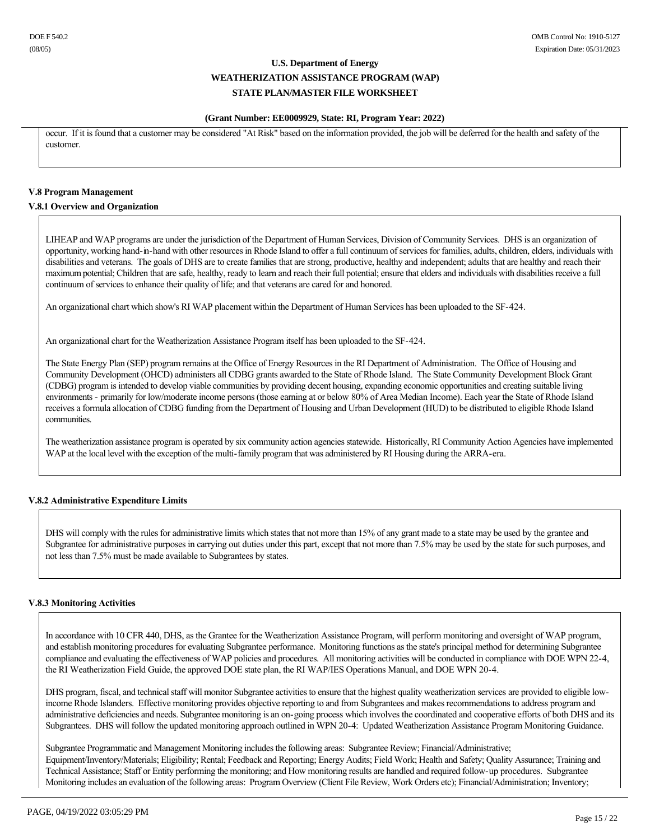### **(Grant Number: EE0009929, State: RI, Program Year: 2022)**

occur. If it is found that a customer may be considered "At Risk" based on the information provided, the job will be deferred for the health and safety of the customer.

### **V.8 Program Management**

### **V.8.1 Overview and Organization**

LIHEAP and WAP programs are under the jurisdiction of the Department of Human Services, Division of Community Services. DHS is an organization of opportunity, working hand-in-hand with other resources in Rhode Island to offer a full continuum of services for families, adults, children, elders, individuals with disabilities and veterans. The goals of DHS are to create families that are strong, productive, healthy and independent; adults that are healthy and reach their maximum potential; Children that are safe, healthy, ready to learn and reach their full potential; ensure that elders and individuals with disabilities receive a full continuum of services to enhance their quality of life; and that veterans are cared for and honored.

An organizational chart which show's RI WAP placement within the Department of Human Services has been uploaded to the SF-424.

An organizational chart for the Weatherization Assistance Program itself has been uploaded to the SF-424.

The State Energy Plan (SEP) program remains at the Office of Energy Resources in the RI Department of Administration. The Office of Housing and Community Development (OHCD) administers all CDBG grants awarded to the State of Rhode Island. The State Community Development Block Grant (CDBG) program is intended to develop viable communities by providing decent housing, expanding economic opportunities and creating suitable living environments primarily for low/moderate income persons (those earning at or below 80% of Area Median Income). Each year the State of Rhode Island receives a formula allocation of CDBG funding from the Department of Housing and Urban Development (HUD) to be distributed to eligible Rhode Island communities.

The weatherization assistance program is operated by six community action agencies statewide. Historically, RI Community Action Agencies have implemented WAP at the local level with the exception of the multi-family program that was administered by RI Housing during the ARRA-era.

## **V.8.2 Administrative Expenditure Limits**

DHS will comply with the rules for administrative limits which states that not more than 15% of any grant made to a state may be used by the grantee and Subgrantee for administrative purposes in carrying out duties under this part, except that not more than 7.5% may be used by the state for such purposes, and not less than 7.5% must be made available to Subgrantees by states.

### **V.8.3 Monitoring Activities**

In accordance with 10 CFR 440, DHS, as the Grantee for the Weatherization Assistance Program, will perform monitoring and oversight of WAP program, and establish monitoring procedures for evaluating Subgrantee performance. Monitoring functions as the state's principal method for determining Subgrantee compliance and evaluating the effectiveness of WAP policies and procedures. All monitoring activities will be conducted in compliance with DOE WPN 224, the RI Weatherization Field Guide, the approved DOE state plan, the RI WAP/IES Operations Manual, and DOE WPN 20-4.

DHS program, fiscal, and technical staff will monitor Subgrantee activities to ensure that the highest quality weatherization services are provided to eligible lowincome Rhode Islanders. Effective monitoring provides objective reporting to and from Subgrantees and makes recommendations to address program and administrative deficiencies and needs. Subgrantee monitoring is an on-going process which involves the coordinated and cooperative efforts of both DHS and its Subgrantees. DHS will follow the updated monitoring approach outlined in WPN 20-4: Updated Weatherization Assistance Program Monitoring Guidance.

Subgrantee Programmatic and Management Monitoring includes the following areas: Subgrantee Review; Financial/Administrative; Equipment/Inventory/Materials; Eligibility; Rental; Feedback and Reporting; Energy Audits; Field Work; Health and Safety; Quality Assurance; Training and Technical Assistance; Staff or Entity performing the monitoring; and How monitoring results are handled and required followup procedures. Subgrantee Monitoring includes an evaluation of the following areas: Program Overview (Client File Review, Work Orders etc); Financial/Administration; Inventory;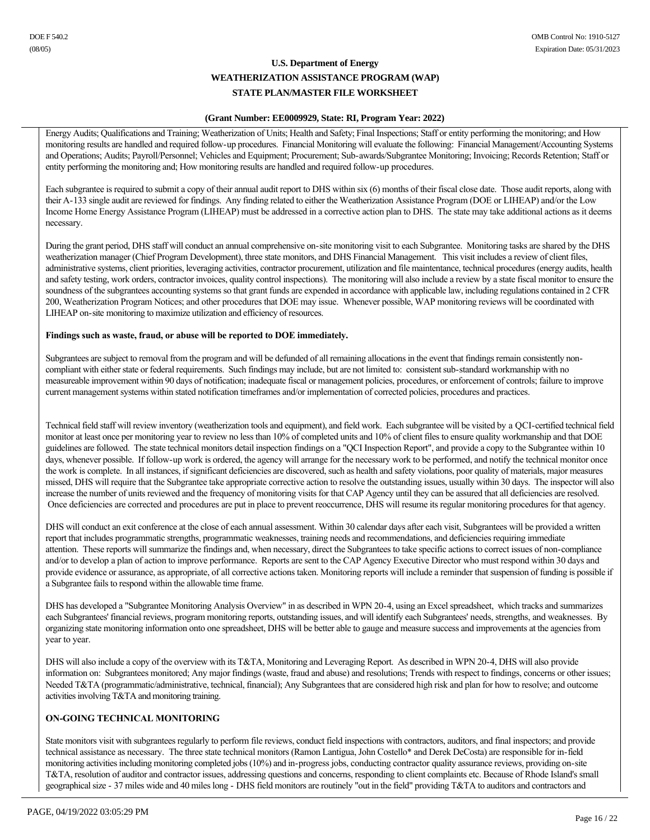### **(Grant Number: EE0009929, State: RI, Program Year: 2022)**

Energy Audits; Qualifications and Training; Weatherization of Units; Health and Safety; Final Inspections; Staff or entity performing the monitoring; and How monitoring results are handled and required followup procedures. Financial Monitoring will evaluate the following: Financial Management/Accounting Systems and Operations; Audits; Payroll/Personnel; Vehicles and Equipment; Procurement; Sub-awards/Subgrantee Monitoring; Invoicing; Records Retention; Staff or entity performing the monitoring and; How monitoring results are handled and required follow-up procedures.

Each subgrantee is required to submit a copy of their annual audit report to DHS within six (6) months of their fiscal close date. Those audit reports, along with their A133 single audit are reviewed for findings. Any finding related to either the Weatherization Assistance Program (DOE or LIHEAP) and/or the Low Income Home Energy Assistance Program (LIHEAP) must be addressed in a corrective action plan to DHS. The state may take additional actions as it deems necessary.

During the grant period, DHS staff will conduct an annual comprehensive on-site monitoring visit to each Subgrantee. Monitoring tasks are shared by the DHS weatherization manager (Chief Program Development), three state monitors, and DHS Financial Management. This visit includes a review of client files, administrative systems, client priorities, leveraging activities, contractor procurement, utilization and file maintentance, technical procedures (energy audits, health and safety testing, work orders, contractor invoices, quality control inspections). The monitoring will also include a review by a state fiscal monitor to ensure the soundness of the subgrantees accounting systems so that grant funds are expended in accordance with applicable law, including regulations contained in 2 CFR 200, Weatherization Program Notices; and other procedures that DOE may issue. Whenever possible, WAP monitoring reviews will be coordinated with LIHEAP on-site monitoring to maximize utilization and efficiency of resources.

## **Findings such as waste, fraud, or abuse will be reported to DOE immediately.**

Subgrantees are subject to removal from the program and will be defunded of all remaining allocations in the event that findings remain consistently noncompliant with either state or federal requirements. Such findings may include, but are not limited to: consistent sub-standard workmanship with no measureable improvement within 90 days of notification; inadequate fiscal or management policies, procedures, or enforcement of controls; failure to improve current management systems within stated notification timeframes and/or implementation of corrected policies, procedures and practices.

Technical field staff will review inventory (weatherization tools and equipment), and field work. Each subgrantee will be visited by a QCI-certified technical field monitor at least once per monitoring year to review no less than 10% of completed units and 10% of client files to ensure quality workmanship and that DOE guidelines are followed. The state technical monitors detail inspection findings on a "QCI Inspection Report", and provide a copy to the Subgrantee within 10 days, whenever possible. If follow-up work is ordered, the agency will arrange for the necessary work to be performed, and notify the technical monitor once the work is complete. In all instances, if significant deficiencies are discovered, such as health and safety violations, poor quality of materials, major measures missed, DHS will require that the Subgrantee take appropriate corrective action to resolve the outstanding issues, usually within 30 days. The inspector will also increase the number of units reviewed and the frequency of monitoring visits for that CAP Agency until they can be assured that all deficiencies are resolved. Once deficiencies are corrected and procedures are put in place to prevent reoccurrence, DHS will resume its regular monitoring procedures for that agency.

DHS will conduct an exit conference at the close of each annual assessment. Within 30 calendar days after each visit, Subgrantees will be provided a written report that includes programmatic strengths, programmatic weaknesses, training needs and recommendations, and deficiencies requiring immediate attention. These reports will summarize the findings and, when necessary, direct the Subgrantees to take specific actions to correct issues of noncompliance and/or to develop a plan of action to improve performance. Reports are sent to the CAP Agency Executive Director who must respond within 30 days and provide evidence or assurance, as appropriate, of all corrective actions taken. Monitoring reports will include a reminder that suspension of funding is possible if a Subgrantee fails to respond within the allowable time frame.

DHS has developed a "Subgrantee Monitoring Analysis Overview" in as described in WPN 204, using an Excel spreadsheet, which tracks and summarizes each Subgrantees' financial reviews, program monitoring reports, outstanding issues, and will identify each Subgrantees' needs, strengths, and weaknesses. By organizing state monitoring information onto one spreadsheet, DHS will be better able to gauge and measure success and improvements at the agencies from year to year.

DHS will also include a copy of the overview with its T&TA, Monitoring and Leveraging Report. As described in WPN 20-4, DHS will also provide information on: Subgrantees monitored; Any major findings (waste, fraud and abuse) and resolutions; Trends with respect to findings, concerns or other issues; Needed T&TA (programmatic/administrative, technical, financial); Any Subgrantees that are considered high risk and plan for how to resolve; and outcome activities involving T&TA and monitoring training.

## **ON-GOING TECHNICAL MONITORING**

State monitors visit with subgrantees regularly to perform file reviews, conduct field inspections with contractors, auditors, and final inspectors; and provide technical assistance as necessary. The three state technical monitors (Ramon Lantigua, John Costello\* and Derek DeCosta) are responsible for in-field monitoring activities including monitoring completed jobs (10%) and in-progress jobs, conducting contractor quality assurance reviews, providing on-site T&TA, resolution of auditor and contractor issues, addressing questions and concerns, responding to client complaints etc. Because of Rhode Island's small geographical size 37 miles wide and 40 miles long DHS field monitors are routinely "out in the field" providing T&TA to auditors and contractors and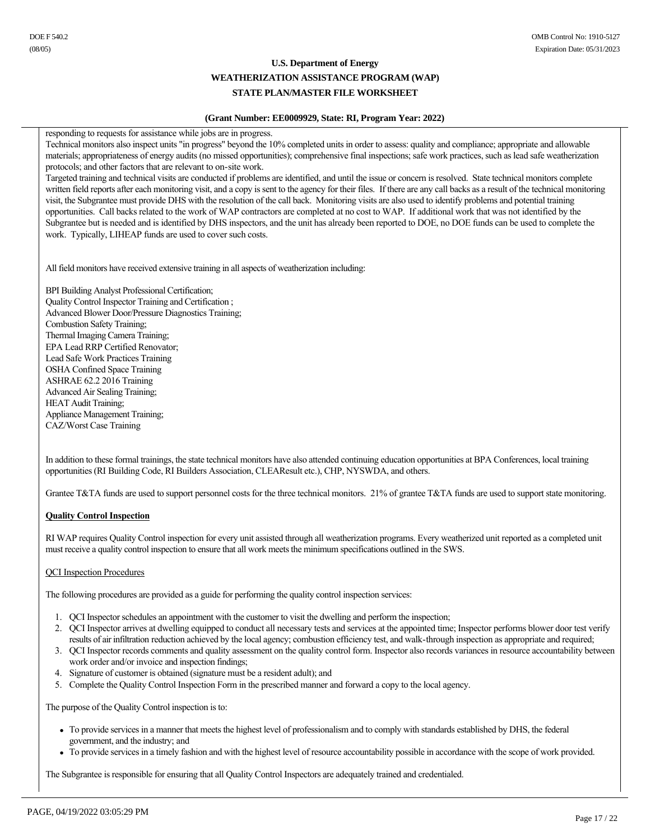### **(Grant Number: EE0009929, State: RI, Program Year: 2022)**

responding to requests for assistance while jobs are in progress.

Technical monitors also inspect units "in progress" beyond the 10% completed units in order to assess: quality and compliance; appropriate and allowable materials; appropriateness of energy audits (no missed opportunities); comprehensive final inspections; safe work practices, such as lead safe weatherization protocols; and other factors that are relevant to on-site work.

Targeted training and technical visits are conducted if problems are identified, and until the issue or concern is resolved. State technical monitors complete written field reports after each monitoring visit, and a copy is sent to the agency for their files. If there are any call backs as a result of the technical monitoring visit, the Subgrantee must provide DHS with the resolution of the call back. Monitoring visits are also used to identify problems and potential training opportunities. Call backs related to the work of WAP contractors are completed at no cost to WAP. If additional work that was not identified by the Subgrantee but is needed and is identified by DHS inspectors, and the unit has already been reported to DOE, no DOE funds can be used to complete the work. Typically, LIHEAP funds are used to cover such costs.

All field monitors have received extensive training in all aspects of weatherization including:

BPI Building Analyst Professional Certification; Quality Control Inspector Training and Certification ; Advanced Blower Door/Pressure Diagnostics Training; Combustion Safety Training; Thermal Imaging Camera Training; EPA Lead RRP Certified Renovator; Lead Safe Work Practices Training OSHA Confined Space Training ASHRAE 62.2 2016 Training Advanced Air Sealing Training; HEAT Audit Training; Appliance Management Training; CAZ/Worst Case Training

In addition to these formal trainings, the state technical monitors have also attended continuing education opportunities at BPA Conferences, local training opportunities (RI Building Code, RI Builders Association, CLEAResult etc.), CHP, NYSWDA, and others.

Grantee T&TA funds are used to support personnel costs for the three technical monitors. 21% of grantee T&TA funds are used to support state monitoring.

## **Quality Control Inspection**

RI WAP requires Quality Control inspection for every unit assisted through all weatherization programs. Every weatherized unit reported as a completed unit must receive a quality control inspection to ensure that all work meets the minimum specifications outlined in the SWS.

## QCI Inspection Procedures

The following procedures are provided as a guide for performing the quality control inspection services:

- 1. QCI Inspector schedules an appointment with the customer to visit the dwelling and perform the inspection;
- 2. QCI Inspector arrives at dwelling equipped to conduct all necessary tests and services at the appointed time; Inspector performs blower door test verify results of air infiltration reduction achieved by the local agency; combustion efficiency test, and walk-through inspection as appropriate and required;
- 3. QCI Inspector records comments and quality assessment on the quality control form. Inspector also records variances in resource accountability between work order and/or invoice and inspection findings;
- 4. Signature of customer is obtained (signature must be a resident adult); and
- 5. Complete the Quality Control Inspection Form in the prescribed manner and forward a copy to the local agency.

The purpose of the Quality Control inspection is to:

- <sup>l</sup> To provide services in a manner that meets the highest level of professionalism and to comply with standards established by DHS, the federal government, and the industry; and
- <sup>l</sup> To provide services in a timely fashion and with the highest level of resource accountability possible in accordance with the scope of work provided.

The Subgrantee is responsible for ensuring that all Quality Control Inspectors are adequately trained and credentialed.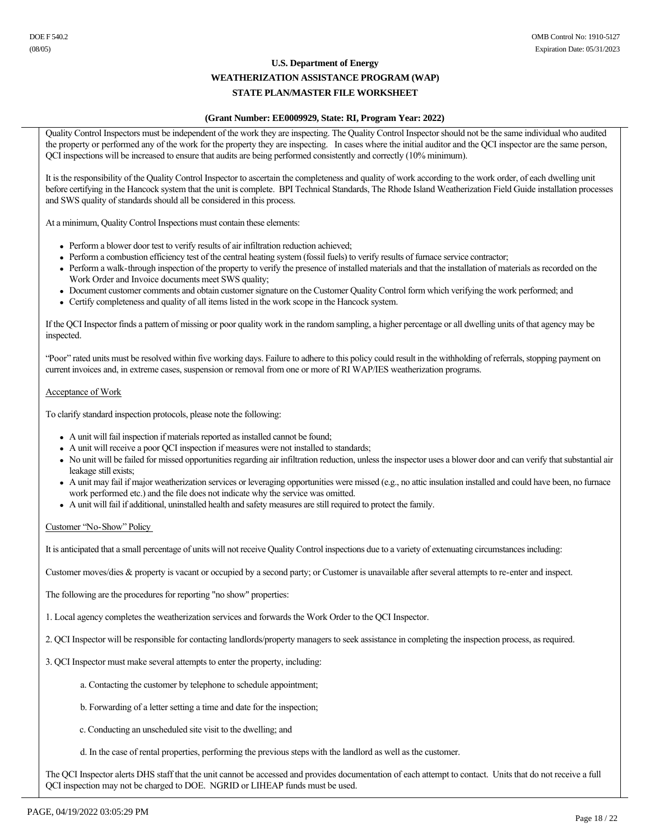# **WEATHERIZATION ASSISTANCE PROGRAM (WAP)**

# **STATE PLAN/MASTER FILE WORKSHEET**

### **(Grant Number: EE0009929, State: RI, Program Year: 2022)**

Quality Control Inspectors must be independent of the work they are inspecting. The Quality Control Inspector should not be the same individual who audited the property or performed any of the work for the property they are inspecting. In cases where the initial auditor and the QCI inspector are the same person, QCI inspections will be increased to ensure that audits are being performed consistently and correctly (10% minimum).

It is the responsibility of the Quality Control Inspector to ascertain the completeness and quality of work according to the work order, of each dwelling unit before certifying in the Hancock system that the unit is complete. BPI Technical Standards, The Rhode Island Weatherization Field Guide installation processes and SWS quality of standards should all be considered in this process.

At a minimum, Quality Control Inspections must contain these elements:

- Perform a blower door test to verify results of air infiltration reduction achieved;
- <sup>l</sup> Perform a combustion efficiency test of the central heating system (fossil fuels) to verify results of furnace service contractor;
- Perform a walk-through inspection of the property to verify the presence of installed materials and that the installation of materials as recorded on the Work Order and Invoice documents meet SWS quality;
- Document customer comments and obtain customer signature on the Customer Quality Control form which verifying the work performed; and
- Certify completeness and quality of all items listed in the work scope in the Hancock system.

If the QCI Inspector finds a pattern of missing or poor quality work in the random sampling, a higher percentage or all dwelling units of that agency may be inspected.

"Poor" rated units must be resolved within five working days. Failure to adhere to this policy could result in the withholding of referrals, stopping payment on current invoices and, in extreme cases, suspension or removal from one or more of RI WAP/IES weatherization programs.

### Acceptance of Work

To clarify standard inspection protocols, please note the following:

- A unit will fail inspection if materials reported as installed cannot be found;
- A unit will receive a poor OCI inspection if measures were not installed to standards;
- No unit will be failed for missed opportunities regarding air infiltration reduction, unless the inspector uses a blower door and can verify that substantial air leakage still exists;
- $\bullet$  A unit may fail if major weatherization services or leveraging opportunities were missed (e.g., no attic insulation installed and could have been, no furnace work performed etc.) and the file does not indicate why the service was omitted.
- <sup>l</sup> A unit will fail if additional, uninstalled health and safety measures are still required to protect the family.

### Customer 'No-Show'' Policy

It is anticipated that a small percentage of units will not receive Quality Control inspections due to a variety of extenuating circumstances including:

Customer moves/dies & property is vacant or occupied by a second party; or Customer is unavailable after several attempts to re-enter and inspect.

The following are the procedures for reporting "no show" properties:

1. Local agency completes the weatherization services and forwards the Work Order to the QCI Inspector.

2. QCI Inspector will be responsible for contacting landlords/property managers to seek assistance in completing the inspection process, as required.

- 3. QCI Inspector must make several attempts to enter the property, including:
	- a. Contacting the customer by telephone to schedule appointment;
	- b. Forwarding of a letter setting a time and date for the inspection;
	- c. Conducting an unscheduled site visit to the dwelling; and
	- d. In the case of rental properties, performing the previous steps with the landlord as well as the customer.

The QCI Inspector alerts DHS staff that the unit cannot be accessed and provides documentation of each attempt to contact. Units that do not receive a full QCI inspection may not be charged to DOE. NGRID or LIHEAP funds must be used.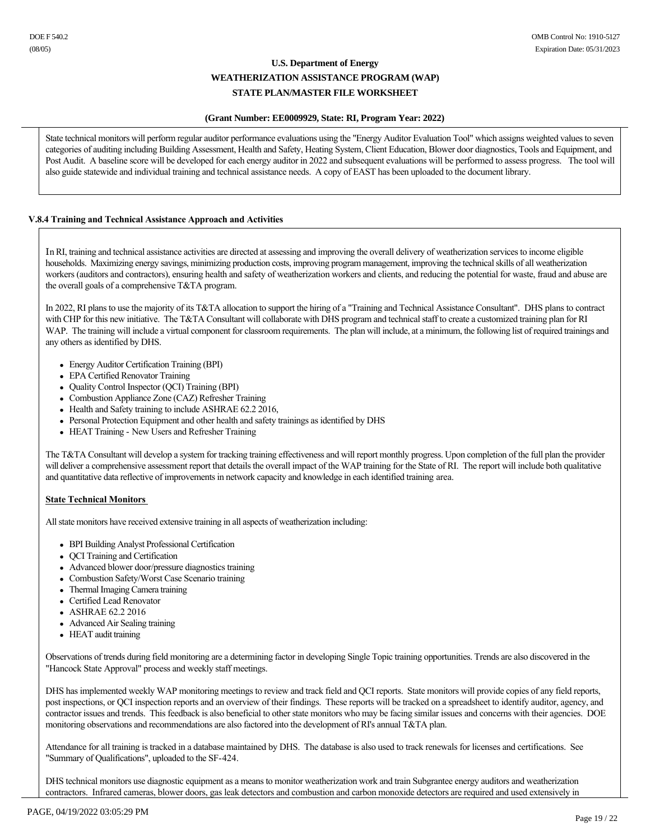### **(Grant Number: EE0009929, State: RI, Program Year: 2022)**

State technical monitors will perform regular auditor performance evaluations using the "Energy Auditor Evaluation Tool" which assigns weighted values to seven categories of auditing including Building Assessment, Health and Safety, Heating System, Client Education, Blower door diagnostics, Tools and Equipment, and Post Audit. A baseline score will be developed for each energy auditor in 2022 and subsequent evaluations will be performed to assess progress. The tool will also guide statewide and individual training and technical assistance needs. A copy of EAST has been uploaded to the document library.

## **V.8.4 Training and Technical Assistance Approach and Activities**

In RI, training and technical assistance activities are directed at assessing and improving the overall delivery of weatherization services to income eligible households. Maximizing energy savings, minimizing production costs, improving program management, improving the technical skills of all weatherization workers (auditors and contractors), ensuring health and safety of weatherization workers and clients, and reducing the potential for waste, fraud and abuse are the overall goals of a comprehensive T&TA program.

In 2022, RI plans to use the majority of its T&TA allocation to support the hiring of a "Training and Technical Assistance Consultant". DHS plans to contract with CHP for this new initiative. The T&TA Consultant will collaborate with DHS program and technical staff to create a customized training plan for RI WAP. The training will include a virtual component for classroom requirements. The plan will include, at a minimum, the following list of required trainings and any others as identified by DHS.

- Energy Auditor Certification Training (BPI)
- EPA Certified Renovator Training
- Quality Control Inspector (OCI) Training (BPI)
- Combustion Appliance Zone (CAZ) Refresher Training
- Health and Safety training to include ASHRAE 62.2 2016,
- Personal Protection Equipment and other health and safety trainings as identified by DHS
- HEAT Training New Users and Refresher Training

The T&TA Consultant will develop a system for tracking training effectiveness and will report monthly progress. Upon completion of the full plan the provider will deliver a comprehensive assessment report that details the overall impact of the WAP training for the State of RI. The report will include both qualitative and quantitative data reflective of improvements in network capacity and knowledge in each identified training area.

## **State Technical Monitors**

All state monitors have received extensive training in all aspects of weatherization including:

- BPI Building Analyst Professional Certification
- QCI Training and Certification
- Advanced blower door/pressure diagnostics training
- Combustion Safety/Worst Case Scenario training
- Thermal Imaging Camera training
- Certified Lead Renovator
- ASHRAE 62.2 2016
- Advanced Air Sealing training
- HEAT audit training

Observations of trends during field monitoring are a determining factor in developing Single Topic training opportunities. Trends are also discovered in the "Hancock State Approval" process and weekly staff meetings.

DHS has implemented weekly WAP monitoring meetings to review and track field and QCI reports. State monitors will provide copies of any field reports, post inspections, or QCI inspection reports and an overview of their findings. These reports will be tracked on a spreadsheet to identify auditor, agency, and contractor issues and trends. This feedback is also beneficial to other state monitors who may be facing similar issues and concerns with their agencies. DOE monitoring observations and recommendations are also factored into the development of RI's annual T&TA plan.

Attendance for all training is tracked in a database maintained by DHS. The database is also used to track renewals for licenses and certifications. See "Summary of Qualifications", uploaded to the SF-424.

DHS technical monitors use diagnostic equipment as a means to monitor weatherization work and train Subgrantee energy auditors and weatherization contractors. Infrared cameras, blower doors, gas leak detectors and combustion and carbon monoxide detectors are required and used extensively in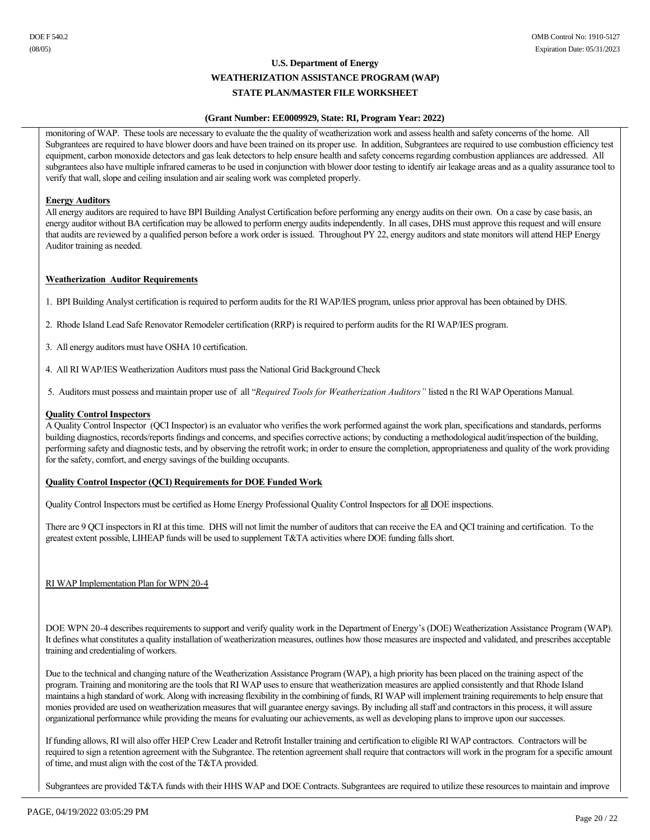### **(Grant Number: EE0009929, State: RI, Program Year: 2022)**

monitoring of WAP. These tools are necessary to evaluate the the quality of weatherization work and assess health and safety concerns of the home. All Subgrantees are required to have blower doors and have been trained on its proper use. In addition, Subgrantees are required to use combustion efficiency test equipment, carbon monoxide detectors and gas leak detectors to help ensure health and safety concerns regarding combustion appliances are addressed. All subgrantees also have multiple infrared cameras to be used in conjunction with blower door testing to identify air leakage areas and as a quality assurance tool to verify that wall, slope and ceiling insulation and air sealing work was completed properly.

### **Energy Auditors**

All energy auditors are required to have BPI Building Analyst Certification before performing any energy audits on their own. On a case by case basis, an energy auditor without BA certification may be allowed to perform energy audits independently. In all cases, DHS must approve this request and will ensure that audits are reviewed by a qualified person before a work order is issued. Throughout PY 22, energy auditors and state monitors will attend HEP Energy Auditor training as needed.

### **Weatherization Auditor Requirements**

1. BPI Building Analyst certification is required to perform audits for the RI WAP/IES program, unless prior approval has been obtained by DHS.

2. Rhode Island Lead Safe Renovator Remodeler certification (RRP) is required to perform audits for the RI WAP/IES program.

- 3. All energy auditors must have OSHA 10 certification.
- 4. All RI WAP/IES Weatherization Auditors must pass the National Grid Background Check

5. Auditors must possess and maintain proper use of all "*Required Tools for Weatherization Auditors"* listed n the RI WAP Operations Manual.

### **Quality Control Inspectors**

A Quality Control Inspector (QCI Inspector) is an evaluator who verifies the work performed against the work plan, specifications and standards, performs building diagnostics, records/reports findings and concerns, and specifies corrective actions; by conducting a methodological audit/inspection of the building, performing safety and diagnostic tests, and by observing the retrofit work; in order to ensure the completion, appropriateness and quality of the work providing for the safety, comfort, and energy savings of the building occupants.

### **Quality Control Inspector (QCI) Requirements for DOE Funded Work**

Quality Control Inspectors must be certified as Home Energy Professional Quality Control Inspectors for all DOE inspections.

There are 9 QCI inspectors in RI at this time. DHS will not limit the number of auditors that can receive the EA and QCI training and certification. To the greatest extent possible, LIHEAP funds will be used to supplement T&TA activities where DOE funding falls short.

RI WAP Implementation Plan for WPN 20-4

DOE WPN 204 describes requirements to support and verify quality work in the Department of Energy's (DOE) Weatherization Assistance Program (WAP). It defines what constitutes a quality installation of weatherization measures, outlines how those measures are inspected and validated, and prescribes acceptable training and credentialing of workers.

Due to the technical and changing nature of the Weatherization Assistance Program (WAP), a high priority has been placed on the training aspect of the program. Training and monitoring are the tools that RI WAP uses to ensure that weatherization measures are applied consistently and that Rhode Island maintains a high standard of work. Along with increasing flexibility in the combining of funds, RI WAP will implement training requirements to help ensure that monies provided are used on weatherization measures that will guarantee energy savings. By including all staff and contractors in this process, it will assure organizational performance while providing the means for evaluating our achievements, as well as developing plans to improve upon our successes.

If funding allows, RI will also offer HEP Crew Leader and Retrofit Installer training and certification to eligible RI WAP contractors. Contractors will be required to sign a retention agreement with the Subgrantee. The retention agreement shall require that contractors will work in the program for a specific amount of time, and must align with the cost of the T&TA provided.

Subgrantees are provided T&TA funds with their HHS WAP and DOE Contracts. Subgrantees are required to utilize these resources to maintain and improve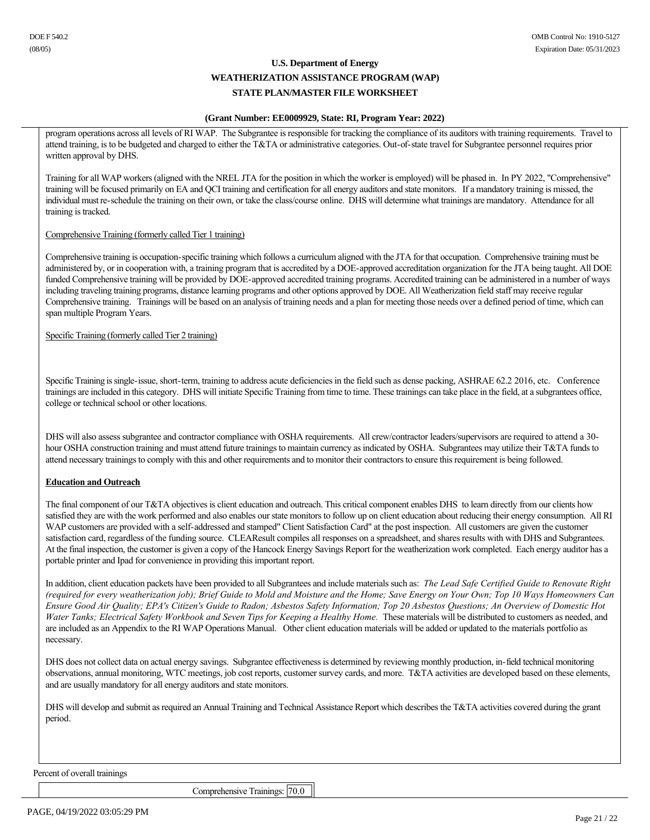## **(Grant Number: EE0009929, State: RI, Program Year: 2022)**

program operations across all levels of RI WAP. The Subgrantee is responsible for tracking the compliance of its auditors with training requirements. Travel to attend training, is to be budgeted and charged to either the T&TA or administrative categories. Out-of-state travel for Subgrantee personnel requires prior written approval by DHS.

Training for all WAP workers (aligned with the NREL JTA for the position in which the worker is employed) will be phased in. In PY 2022, "Comprehensive" training will be focused primarily on EA and QCI training and certification for all energy auditors and state monitors. If a mandatory training is missed, the individual must reschedule the training on their own, or take the class/course online. DHS will determine what trainings are mandatory. Attendance for all training is tracked.

### Comprehensive Training (formerly called Tier 1 training)

Comprehensive training is occupation-specific training which follows a curriculum aligned with the JTA for that occupation. Comprehensive training must be administered by, or in cooperation with, a training program that is accredited by a DOE-approved accreditation organization for the JTA being taught. All DOE funded Comprehensive training will be provided by DOE-approved accredited training programs. Accredited training can be administered in a number of ways including traveling training programs, distance learning programs and other options approved by DOE. All Weatherization field staff may receive regular Comprehensive training. Trainings will be based on an analysis of training needs and a plan for meeting those needs over a defined period of time, which can span multiple Program Years.

Specific Training (formerly called Tier 2 training)

Specific Training is single-issue, short-term, training to address acute deficiencies in the field such as dense packing, ASHRAE 62.2 2016, etc. Conference trainings are included in this category. DHS will initiate Specific Training from time to time. These trainings can take place in the field, at a subgrantees office, college or technical school or other locations.

DHS will also assess subgrantee and contractor compliance with OSHA requirements. All crew/contractor leaders/supervisors are required to attend a 30 hour OSHA construction training and must attend future trainings to maintain currency as indicated by OSHA. Subgrantees may utilize their T&TA funds to attend necessary trainings to comply with this and other requirements and to monitor their contractors to ensure this requirement is being followed.

## **Education and Outreach**

The final component of our T&TA objectives is client education and outreach. This critical component enables DHS to learn directly from our clients how satisfied they are with the work performed and also enables our state monitors to follow up on client education about reducing their energy consumption. All RI WAP customers are provided with a self-addressed and stamped" Client Satisfaction Card" at the post inspection. All customers are given the customer satisfaction card, regardless of the funding source. CLEAResult compiles all responses on a spreadsheet, and shares results with with DHS and Subgrantees. At the final inspection, the customer is given a copy of the Hancock Energy Savings Report for the weatherization work completed. Each energy auditor has a portable printer and Ipad for convenience in providing this important report.

In addition, client education packets have been provided to all Subgrantees and include materials such as: *The Lead Safe Certified Guide to Renovate Right (required for every weatherization job); Brief Guide to Mold and Moisture and the Home; Save Energy on Your Own; Top 10 Ways Homeowners Can Ensure Good Air Quality; EPA's Citizen's Guide to Radon; Asbestos Safety Information; Top 20 Asbestos Questions; An Overview of Domestic Hot*  Water Tanks; Electrical Safety Workbook and Seven Tips for Keeping a Healthy Home. These materials will be distributed to customers as needed, and are included as an Appendix to the RI WAP Operations Manual. Other client education materials will be added or updated to the materials portfolio as necessary.

DHS does not collect data on actual energy savings. Subgrantee effectiveness is determined by reviewing monthly production, in-field technical monitoring observations, annual monitoring, WTC meetings, job cost reports, customer survey cards, and more. T&TA activities are developed based on these elements, and are usually mandatory for all energy auditors and state monitors.

DHS will develop and submit as required an Annual Training and Technical Assistance Report which describes the T&TA activities covered during the grant period.

Percent of overall trainings

Comprehensive Trainings: [70.0]